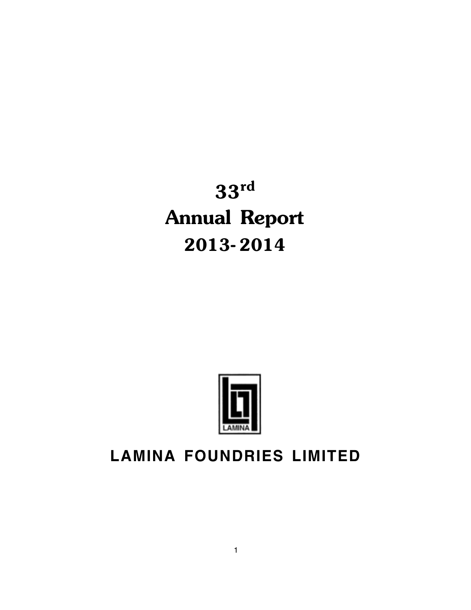33rd Annual Report 2013- 2014

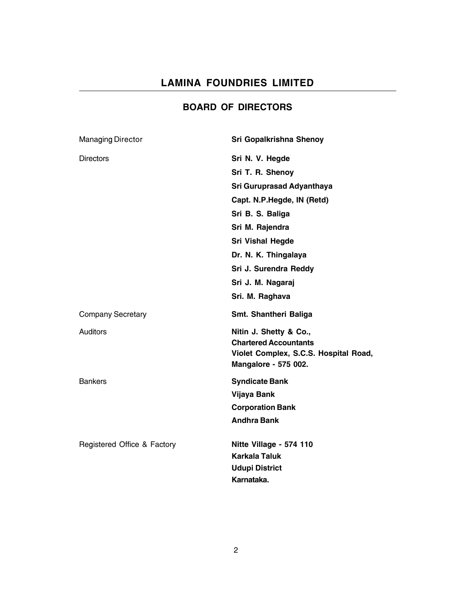## BOARD OF DIRECTORS

| <b>Managing Director</b>    | Sri Gopalkrishna Shenoy                                                                                                 |
|-----------------------------|-------------------------------------------------------------------------------------------------------------------------|
| <b>Directors</b>            | Sri N. V. Hegde                                                                                                         |
|                             | Sri T. R. Shenoy                                                                                                        |
|                             | Sri Guruprasad Adyanthaya                                                                                               |
|                             | Capt. N.P.Hegde, IN (Retd)                                                                                              |
|                             | Sri B. S. Baliga                                                                                                        |
|                             | Sri M. Rajendra                                                                                                         |
|                             | <b>Sri Vishal Hegde</b>                                                                                                 |
|                             | Dr. N. K. Thingalaya                                                                                                    |
|                             | Sri J. Surendra Reddy                                                                                                   |
|                             | Sri J. M. Nagaraj                                                                                                       |
|                             | Sri. M. Raghava                                                                                                         |
| <b>Company Secretary</b>    | Smt. Shantheri Baliga                                                                                                   |
| Auditors                    | Nitin J. Shetty & Co.,<br><b>Chartered Accountants</b><br>Violet Complex, S.C.S. Hospital Road,<br>Mangalore - 575 002. |
| <b>Bankers</b>              | <b>Syndicate Bank</b>                                                                                                   |
|                             | <b>Vijaya Bank</b>                                                                                                      |
|                             | <b>Corporation Bank</b>                                                                                                 |
|                             | <b>Andhra Bank</b>                                                                                                      |
| Registered Office & Factory | Nitte Village - 574 110                                                                                                 |
|                             | <b>Karkala Taluk</b>                                                                                                    |
|                             | <b>Udupi District</b>                                                                                                   |
|                             | Karnataka.                                                                                                              |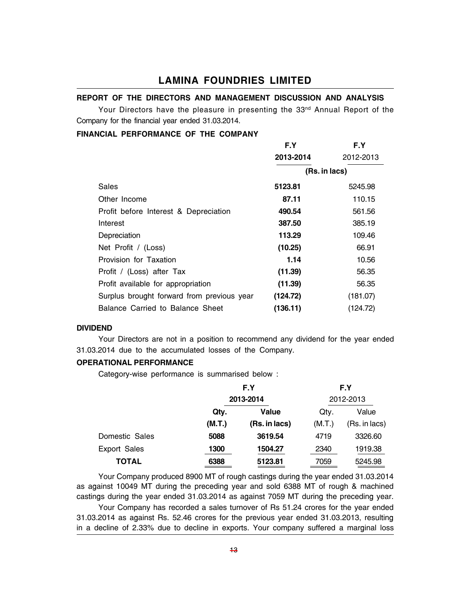### REPORT OF THE DIRECTORS AND MANAGEMENT DISCUSSION AND ANALYSIS

Your Directors have the pleasure in presenting the 33<sup>nd</sup> Annual Report of the Company for the financial year ended 31.03.2014.

#### FINANCIAL PERFORMANCE OF THE COMPANY

|                                            | F.Y           | F.Y       |
|--------------------------------------------|---------------|-----------|
|                                            | 2013-2014     | 2012-2013 |
|                                            | (Rs. in lacs) |           |
| Sales                                      | 5123.81       | 5245.98   |
| Other Income                               | 87.11         | 110.15    |
| Profit before Interest & Depreciation      | 490.54        | 561.56    |
| Interest                                   | 387.50        | 385.19    |
| Depreciation                               | 113.29        | 109.46    |
| Net Profit / (Loss)                        | (10.25)       | 66.91     |
| Provision for Taxation                     | 1.14          | 10.56     |
| Profit / (Loss) after Tax                  | (11.39)       | 56.35     |
| Profit available for appropriation         | (11.39)       | 56.35     |
| Surplus brought forward from previous year | (124.72)      | (181.07)  |
| Balance Carried to Balance Sheet           | (136.11)      | (124.72)  |

#### DIVIDEND

Your Directors are not in a position to recommend any dividend for the year ended 31.03.2014 due to the accumulated losses of the Company.

#### OPERATIONAL PERFORMANCE

Category-wise performance is summarised below :

|                     | F.Y<br>2013-2014 |               |           | F.Y           |  |
|---------------------|------------------|---------------|-----------|---------------|--|
|                     |                  |               | 2012-2013 |               |  |
|                     | Qtv.             | Value         | Qtv.      | Value         |  |
|                     | (M.T.)           | (Rs. in lacs) | (M.T.)    | (Rs. in lacs) |  |
| Domestic Sales      | 5088             | 3619.54       | 4719      | 3326.60       |  |
| <b>Export Sales</b> | 1300             | 1504.27       | 2340      | 1919.38       |  |
| <b>TOTAL</b>        | 6388             | 5123.81       | 7059      | 5245.98       |  |

Your Company produced 8900 MT of rough castings during the year ended 31.03.2014 as against 10049 MT during the preceding year and sold 6388 MT of rough & machined castings during the year ended 31.03.2014 as against 7059 MT during the preceding year. Your Company has recorded a sales turnover of Rs 51.24 crores for the year ended 31.03.2014 as against Rs. 52.46 crores for the previous year ended 31.03.2013, resulting in a decline of 2.33% due to decline in exports. Your company suffered a marginal loss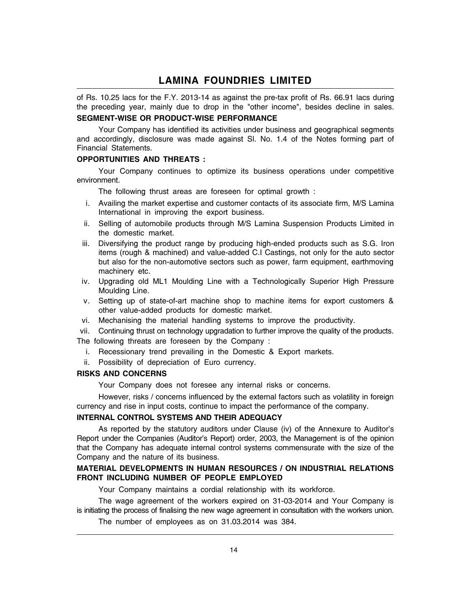of Rs. 10.25 lacs for the F.Y. 2013-14 as against the pre-tax profit of Rs. 66.91 lacs during the preceding year, mainly due to drop in the "other income", besides decline in sales.

#### SEGMENT-WISE OR PRODUCT-WISE PERFORMANCE

Your Company has identified its activities under business and geographical segments and accordingly, disclosure was made against Sl. No. 1.4 of the Notes forming part of Financial Statements.

#### OPPORTUNITIES AND THREATS :

Your Company continues to optimize its business operations under competitive environment.

The following thrust areas are foreseen for optimal growth :

- i. Availing the market expertise and customer contacts of its associate firm, M/S Lamina International in improving the export business.
- ii. Selling of automobile products through M/S Lamina Suspension Products Limited in the domestic market.
- iii. Diversifying the product range by producing high-ended products such as S.G. Iron items (rough & machined) and value-added C.I Castings, not only for the auto sector but also for the non-automotive sectors such as power, farm equipment, earthmoving machinery etc.
- iv. Upgrading old ML1 Moulding Line with a Technologically Superior High Pressure Moulding Line.
- v. Setting up of state-of-art machine shop to machine items for export customers & other value-added products for domestic market.
- vi. Mechanising the material handling systems to improve the productivity.

vii. Continuing thrust on technology upgradation to further improve the quality of the products.

The following threats are foreseen by the Company :

- i. Recessionary trend prevailing in the Domestic & Export markets.
- ii. Possibility of depreciation of Euro currency.

#### RISKS AND CONCERNS

Your Company does not foresee any internal risks or concerns.

However, risks / concerns influenced by the external factors such as volatility in foreign currency and rise in input costs, continue to impact the performance of the company.

#### INTERNAL CONTROL SYSTEMS AND THEIR ADEQUACY

As reported by the statutory auditors under Clause (iv) of the Annexure to Auditor's Report under the Companies (Auditor's Report) order, 2003, the Management is of the opinion that the Company has adequate internal control systems commensurate with the size of the Company and the nature of its business.

#### MATERIAL DEVELOPMENTS IN HUMAN RESOURCES / ON INDUSTRIAL RELATIONS FRONT INCLUDING NUMBER OF PEOPLE EMPLOYED

Your Company maintains a cordial relationship with its workforce.

The wage agreement of the workers expired on 31-03-2014 and Your Company is is initiating the process of finalising the new wage agreement in consultation with the workers union.

The number of employees as on 31.03.2014 was 384.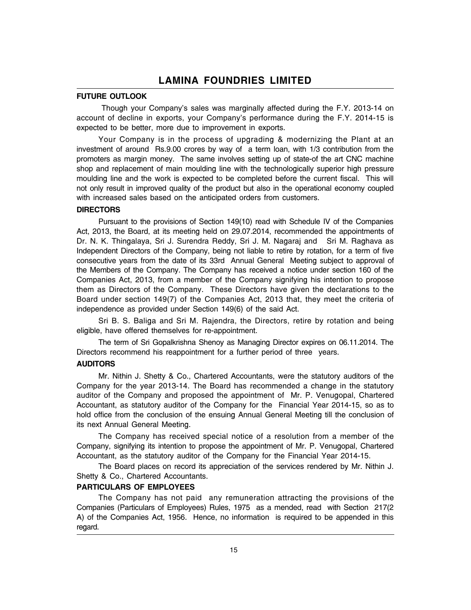#### FUTURE OUTLOOK

Though your Company's sales was marginally affected during the F.Y. 2013-14 on account of decline in exports, your Company's performance during the F.Y. 2014-15 is expected to be better, more due to improvement in exports.

Your Company is in the process of upgrading & modernizing the Plant at an investment of around Rs.9.00 crores by way of a term loan, with 1/3 contribution from the promoters as margin money. The same involves setting up of state-of the art CNC machine shop and replacement of main moulding line with the technologically superior high pressure moulding line and the work is expected to be completed before the current fiscal. This will not only result in improved quality of the product but also in the operational economy coupled with increased sales based on the anticipated orders from customers.

#### **DIRECTORS**

Pursuant to the provisions of Section 149(10) read with Schedule IV of the Companies Act, 2013, the Board, at its meeting held on 29.07.2014, recommended the appointments of Dr. N. K. Thingalaya, Sri J. Surendra Reddy, Sri J. M. Nagaraj and Sri M. Raghava as Independent Directors of the Company, being not liable to retire by rotation, for a term of five consecutive years from the date of its 33rd Annual General Meeting subject to approval of the Members of the Company. The Company has received a notice under section 160 of the Companies Act, 2013, from a member of the Company signifying his intention to propose them as Directors of the Company. These Directors have given the declarations to the Board under section 149(7) of the Companies Act, 2013 that, they meet the criteria of independence as provided under Section 149(6) of the said Act.

Sri B. S. Baliga and Sri M. Rajendra, the Directors, retire by rotation and being eligible, have offered themselves for re-appointment.

The term of Sri Gopalkrishna Shenoy as Managing Director expires on 06.11.2014. The Directors recommend his reappointment for a further period of three years.

#### **AUDITORS**

Mr. Nithin J. Shetty & Co., Chartered Accountants, were the statutory auditors of the Company for the year 2013-14. The Board has recommended a change in the statutory auditor of the Company and proposed the appointment of Mr. P. Venugopal, Chartered Accountant, as statutory auditor of the Company for the Financial Year 2014-15, so as to hold office from the conclusion of the ensuing Annual General Meeting till the conclusion of its next Annual General Meeting.

The Company has received special notice of a resolution from a member of the Company, signifying its intention to propose the appointment of Mr. P. Venugopal, Chartered Accountant, as the statutory auditor of the Company for the Financial Year 2014-15.

The Board places on record its appreciation of the services rendered by Mr. Nithin J. Shetty & Co., Chartered Accountants.

#### PARTICULARS OF EMPLOYEES

The Company has not paid any remuneration attracting the provisions of the Companies (Particulars of Employees) Rules, 1975 as a mended, read with Section 217(2 A) of the Companies Act, 1956. Hence, no information is required to be appended in this regard.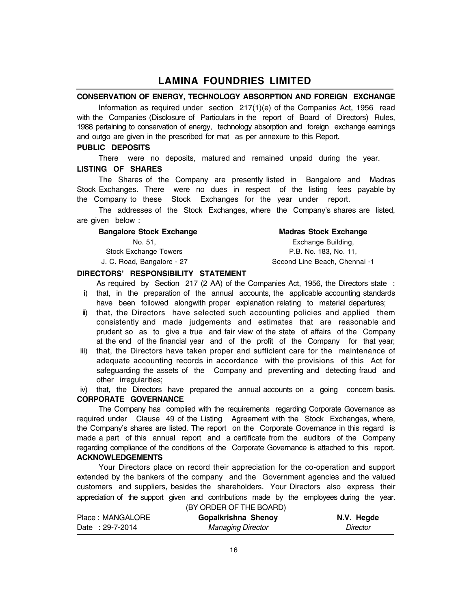#### CONSERVATION OF ENERGY, TECHNOLOGY ABSORPTION AND FOREIGN EXCHANGE

Information as required under section 217(1)(e) of the Companies Act, 1956 read with the Companies (Disclosure of Particulars in the report of Board of Directors) Rules, 1988 pertaining to conservation of energy, technology absorption and foreign exchange earnings and outgo are given in the prescribed for mat as per annexure to this Report.

#### PUBLIC DEPOSITS

There were no deposits, matured and remained unpaid during the year. LISTING OF SHARES

The Shares of the Company are presently listed in Bangalore and Madras Stock Exchanges. There were no dues in respect of the listing fees payable by the Company to these Stock Exchanges for the year under report.

The addresses of the Stock Exchanges, where the Company's shares are listed, are given below :

| <b>Bangalore Stock Exchange</b> |  |  |
|---------------------------------|--|--|
|---------------------------------|--|--|

#### **Madras Stock Exchange**

No. 51, Exchange Building, Stock Exchange Towers **P.B. No. 183, No. 11,** J. C. Road, Bangalore - 27 Second Line Beach, Chennai -1

#### DIRECTORS' RESPONSIBILITY STATEMENT

As required by Section 217 (2 AA) of the Companies Act, 1956, the Directors state : i) that, in the preparation of the annual accounts, the applicable accounting standards have been followed alongwith proper explanation relating to material departures;

- ii) that, the Directors have selected such accounting policies and applied them consistently and made judgements and estimates that are reasonable and prudent so as to give a true and fair view of the state of affairs of the Company at the end of the financial year and of the profit of the Company for that year;
- iii) that, the Directors have taken proper and sufficient care for the maintenance of adequate accounting records in accordance with the provisions of this Act for safeguarding the assets of the Company and preventing and detecting fraud and other irregularities;

iv) that, the Directors have prepared the annual accounts on a going concern basis. CORPORATE GOVERNANCE

The Company has complied with the requirements regarding Corporate Governance as required under Clause 49 of the Listing Agreement with the Stock Exchanges, where, the Company's shares are listed. The report on the Corporate Governance in this regard is made a part of this annual report and a certificate from the auditors of the Company regarding compliance of the conditions of the Corporate Governance is attached to this report. ACKNOWLEDGEMENTS

Your Directors place on record their appreciation for the co-operation and support extended by the bankers of the company and the Government agencies and the valued customers and suppliers, besides the shareholders. Your Directors also express their appreciation of the support given and contributions made by the employees during the year. (BY ORDER OF THE BOARD)

| Place: MANGALORE | JOI UNDEN UF THE DUAND)<br>Gopalkrishna Shenoy | N.V. Hegde |
|------------------|------------------------------------------------|------------|
| Date: 29-7-2014  | <b>Managing Director</b>                       | Director   |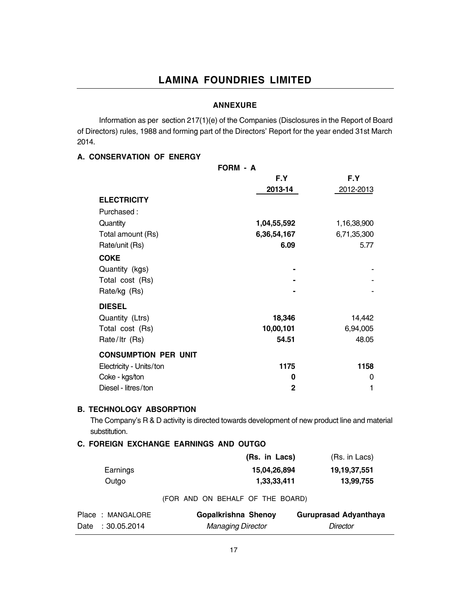#### ANNEXURE

Information as per section 217(1)(e) of the Companies (Disclosures in the Report of Board of Directors) rules, 1988 and forming part of the Directors' Report for the year ended 31st March 2014.

#### A. CONSERVATION OF ENERGY

|                             | FORM - A       |             |
|-----------------------------|----------------|-------------|
|                             | F.Y            | F.Y         |
|                             | 2013-14        | 2012-2013   |
| <b>ELECTRICITY</b>          |                |             |
| Purchased:                  |                |             |
| Quantity                    | 1,04,55,592    | 1,16,38,900 |
| Total amount (Rs)           | 6,36,54,167    | 6,71,35,300 |
| Rate/unit (Rs)              | 6.09           | 5.77        |
| <b>COKE</b>                 |                |             |
| Quantity (kgs)              |                |             |
| Total cost (Rs)             |                |             |
| Rate/kg (Rs)                |                |             |
| <b>DIESEL</b>               |                |             |
| Quantity (Ltrs)             | 18,346         | 14,442      |
| Total cost (Rs)             | 10,00,101      | 6,94,005    |
| Rate/Itr (Rs)               | 54.51          | 48.05       |
| <b>CONSUMPTION PER UNIT</b> |                |             |
| Electricity - Units/ton     | 1175           | 1158        |
| Coke - kgs/ton              | 0              | 0           |
| Diesel - litres/ton         | $\overline{2}$ | 1           |

#### B. TECHNOLOGY ABSORPTION

The Company's R & D activity is directed towards development of new product line and material substitution.

#### C. FOREIGN EXCHANGE EARNINGS AND OUTGO

|          | (Rs. in Lacs) | (Rs. in Lacs)   |
|----------|---------------|-----------------|
| Earnings | 15,04,26,894  | 19, 19, 37, 551 |
| Outgo    | 1,33,33,411   | 13,99,755       |

#### (FOR AND ON BEHALF OF THE BOARD)

| Place: MANGALORE | Gopalkrishna Shenoy | <b>Guruprasad Adyanthaya</b> |
|------------------|---------------------|------------------------------|
| Date: 30.05.2014 | Managing Director   | Director                     |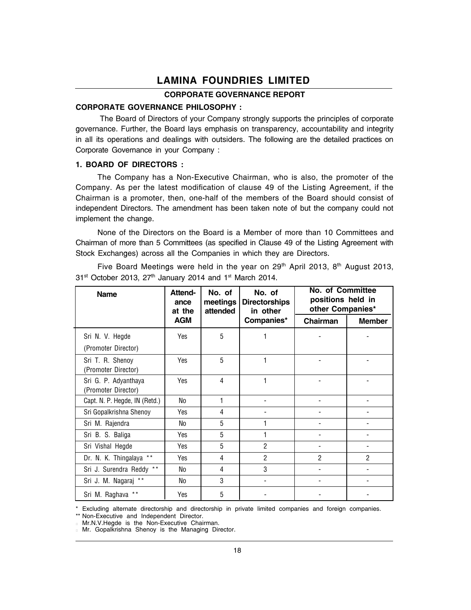#### CORPORATE GOVERNANCE REPORT

#### CORPORATE GOVERNANCE PHILOSOPHY :

The Board of Directors of your Company strongly supports the principles of corporate governance. Further, the Board lays emphasis on transparency, accountability and integrity in all its operations and dealings with outsiders. The following are the detailed practices on Corporate Governance in your Company :

#### 1. BOARD OF DIRECTORS :

The Company has a Non-Executive Chairman, who is also, the promoter of the Company. As per the latest modification of clause 49 of the Listing Agreement, if the Chairman is a promoter, then, one-half of the members of the Board should consist of independent Directors. The amendment has been taken note of but the company could not implement the change.

None of the Directors on the Board is a Member of more than 10 Committees and Chairman of more than 5 Committees (as specified in Clause 49 of the Listing Agreement with Stock Exchanges) across all the Companies in which they are Directors.

Five Board Meetings were held in the year on 29<sup>th</sup> April 2013, 8<sup>th</sup> August 2013,  $31<sup>st</sup>$  October 2013, 27<sup>th</sup> January 2014 and 1<sup>st</sup> March 2014.

| <b>Name</b>                                 | <b>Attend-</b><br>ance<br>at the | No. of<br>meetings<br>attended | No. of<br><b>Directorships</b><br>in other | No. of Committee<br>positions held in<br>other Companies* |                |
|---------------------------------------------|----------------------------------|--------------------------------|--------------------------------------------|-----------------------------------------------------------|----------------|
|                                             | <b>AGM</b>                       |                                | Companies*                                 | Chairman                                                  | <b>Member</b>  |
| Sri N. V. Hegde                             | Yes                              | 5                              |                                            |                                                           |                |
| (Promoter Director)                         |                                  |                                |                                            |                                                           |                |
| Sri T. R. Shenoy<br>(Promoter Director)     | Yes                              | 5                              | 1                                          |                                                           |                |
| Sri G. P. Adyanthaya<br>(Promoter Director) | <b>Yes</b>                       | 4                              | 1                                          |                                                           |                |
| Capt. N. P. Hegde, IN (Retd.)               | No                               |                                |                                            |                                                           |                |
| Sri Gopalkrishna Shenoy                     | Yes                              | 4                              |                                            |                                                           |                |
| Sri M. Rajendra                             | No                               | 5                              | 1                                          |                                                           |                |
| Sri B. S. Baliga                            | Yes                              | 5                              | 1                                          |                                                           |                |
| Sri Vishal Hegde                            | Yes                              | 5                              | $\overline{2}$                             |                                                           |                |
| Dr. N. K. Thingalaya **                     | Yes                              | 4                              | 2                                          | $\overline{2}$                                            | $\overline{2}$ |
| Sri J. Surendra Reddy **                    | No                               | 4                              | 3                                          |                                                           |                |
| Sri J. M. Nagaraj **                        | No                               | 3                              |                                            |                                                           |                |
| $\star\star$<br>Sri M. Raghava              | Yes                              | 5                              |                                            |                                                           |                |

\* Excluding alternate directorship and directorship in private limited companies and foreign companies.

\*\* Non-Executive and Independent Director.

 Mr.N.V.Hegde is the Non-Executive Chairman. Mr. Gopalkrishna Shenoy is the Managing Director.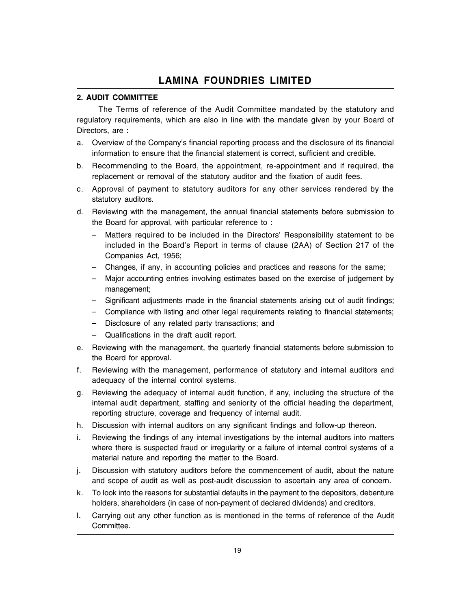#### 2. AUDIT COMMITTEE

The Terms of reference of the Audit Committee mandated by the statutory and regulatory requirements, which are also in line with the mandate given by your Board of Directors, are :

- a. Overview of the Company's financial reporting process and the disclosure of its financial information to ensure that the financial statement is correct, sufficient and credible.
- b. Recommending to the Board, the appointment, re-appointment and if required, the replacement or removal of the statutory auditor and the fixation of audit fees.
- c. Approval of payment to statutory auditors for any other services rendered by the statutory auditors.
- d. Reviewing with the management, the annual financial statements before submission to the Board for approval, with particular reference to :
	- Matters required to be included in the Directors' Responsibility statement to be included in the Board's Report in terms of clause (2AA) of Section 217 of the Companies Act, 1956;
	- Changes, if any, in accounting policies and practices and reasons for the same;
	- $-$  Major accounting entries involving estimates based on the exercise of judgement by management;
	- Significant adjustments made in the financial statements arising out of audit findings;
	- Compliance with listing and other legal requirements relating to financial statements;
	- Disclosure of any related party transactions; and
	- $-$  Qualifications in the draft audit report.
- e. Reviewing with the management, the quarterly financial statements before submission to the Board for approval.
- f. Reviewing with the management, performance of statutory and internal auditors and adequacy of the internal control systems.
- g. Reviewing the adequacy of internal audit function, if any, including the structure of the internal audit department, staffing and seniority of the official heading the department, reporting structure, coverage and frequency of internal audit.
- h. Discussion with internal auditors on any significant findings and follow-up thereon.
- i. Reviewing the findings of any internal investigations by the internal auditors into matters where there is suspected fraud or irregularity or a failure of internal control systems of a material nature and reporting the matter to the Board.
- j. Discussion with statutory auditors before the commencement of audit, about the nature and scope of audit as well as post-audit discussion to ascertain any area of concern.
- k. To look into the reasons for substantial defaults in the payment to the depositors, debenture holders, shareholders (in case of non-payment of declared dividends) and creditors.
- l. Carrying out any other function as is mentioned in the terms of reference of the Audit Committee.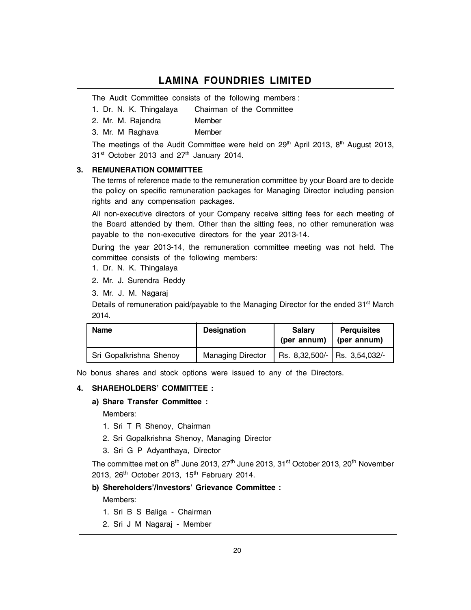The Audit Committee consists of the following members :

- 1. Dr. N. K. Thingalaya Chairman of the Committee
- 2. Mr. M. Rajendra Member
- 3. Mr. M Raghava Member

The meetings of the Audit Committee were held on  $29<sup>th</sup>$  April 2013,  $8<sup>th</sup>$  August 2013,  $31<sup>st</sup>$  October 2013 and  $27<sup>th</sup>$  January 2014.

#### 3. REMUNERATION COMMITTEE

The terms of reference made to the remuneration committee by your Board are to decide the policy on specific remuneration packages for Managing Director including pension rights and any compensation packages.

All non-executive directors of your Company receive sitting fees for each meeting of the Board attended by them. Other than the sitting fees, no other remuneration was payable to the non-executive directors for the year 2013-14.

During the year 2013-14, the remuneration committee meeting was not held. The committee consists of the following members:

1. Dr. N. K. Thingalaya

2. Mr. J. Surendra Reddy

3. Mr. J. M. Nagaraj

Details of remuneration paid/payable to the Managing Director for the ended 31<sup>st</sup> March 2014.

| <b>Name</b>             | <b>Designation</b>       | <b>Salary</b><br>(per annum) | <b>Perquisites</b><br>(per annum) |
|-------------------------|--------------------------|------------------------------|-----------------------------------|
| Sri Gopalkrishna Shenoy | <b>Managing Director</b> |                              | Rs. 8,32,500/- Rs. 3,54,032/-     |

No bonus shares and stock options were issued to any of the Directors.

#### 4. SHAREHOLDERS' COMMITTEE :

#### a) Share Transfer Committee :

Members:

- 1. Sri T R Shenoy, Chairman
- 2. Sri Gopalkrishna Shenoy, Managing Director
- 3. Sri G P Adyanthaya, Director

The committee met on 8<sup>th</sup> June 2013, 27<sup>th</sup> June 2013, 31<sup>st</sup> October 2013, 20<sup>th</sup> November 2013, 26<sup>th</sup> October 2013, 15<sup>th</sup> February 2014.

#### b) Shereholders'/Investors' Grievance Committee :

Members:

- 1. Sri B S Baliga Chairman
- 2. Sri J M Nagaraj Member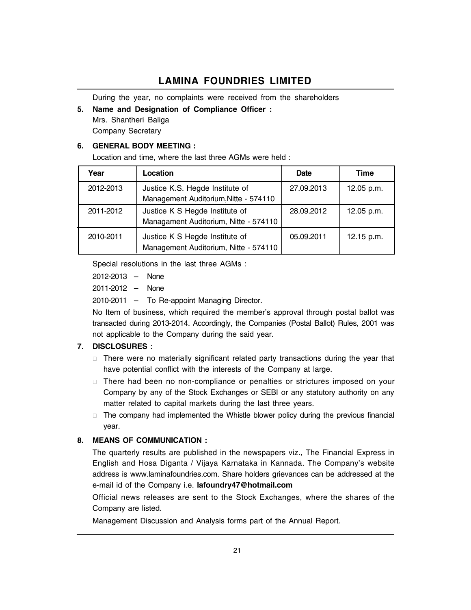During the year, no complaints were received from the shareholders

#### 5. Name and Designation of Compliance Officer :

Mrs. Shantheri Baliga Company Secretary

#### 6. GENERAL BODY MEETING :

Location and time, where the last three AGMs were held :

| Year      | Location                                                                 | <b>Date</b> | Time       |
|-----------|--------------------------------------------------------------------------|-------------|------------|
| 2012-2013 | Justice K.S. Hegde Institute of<br>Management Auditorium, Nitte - 574110 | 27.09.2013  | 12.05 p.m. |
| 2011-2012 | Justice K S Hegde Institute of<br>Managament Auditorium, Nitte - 574110  | 28.09.2012  | 12.05 p.m. |
| 2010-2011 | Justice K S Hegde Institute of<br>Management Auditorium, Nitte - 574110  | 05.09.2011  | 12.15 p.m. |

Special resolutions in the last three AGMs :

 $2012 - 2013 -$  None

 $2011 - 2012 - None$ 

 $2010-2011$  - To Re-appoint Managing Director.

No Item of business, which required the member's approval through postal ballot was transacted during 2013-2014. Accordingly, the Companies (Postal Ballot) Rules, 2001 was not applicable to the Company during the said year.

#### 7. DISCLOSURES :

 There were no materially significant related party transactions during the year that have potential conflict with the interests of the Company at large.

 There had been no non-compliance or penalties or strictures imposed on your Company by any of the Stock Exchanges or SEBI or any statutory authority on any matter related to capital markets during the last three years.

 The company had implemented the Whistle blower policy during the previous financial year.

#### 8. MEANS OF COMMUNICATION :

The quarterly results are published in the newspapers viz., The Financial Express in English and Hosa Diganta / Vijaya Karnataka in Kannada. The Company's website address is www.laminafoundries.com. Share holders grievances can be addressed at the e-mail id of the Company i.e. lafoundry47@hotmail.com

Official news releases are sent to the Stock Exchanges, where the shares of the Company are listed.

Management Discussion and Analysis forms part of the Annual Report.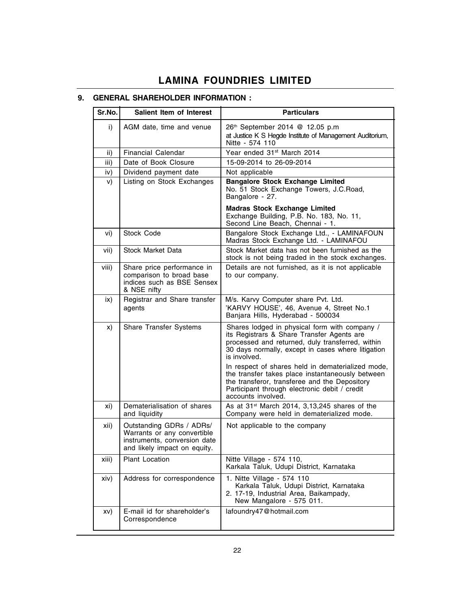## 9. GENERAL SHAREHOLDER INFORMATION :

| Sr.No. | Salient Item of Interest                                                                                                | <b>Particulars</b>                                                                                                                                                                                                            |
|--------|-------------------------------------------------------------------------------------------------------------------------|-------------------------------------------------------------------------------------------------------------------------------------------------------------------------------------------------------------------------------|
| i)     | AGM date, time and venue                                                                                                | 26th September 2014 @ 12.05 p.m<br>at Justice K S Hegde Institute of Management Auditorium,<br>Nitte - 574 110                                                                                                                |
| ii)    | <b>Financial Calendar</b>                                                                                               | Year ended 31 <sup>st</sup> March 2014                                                                                                                                                                                        |
| iii)   | Date of Book Closure                                                                                                    | 15-09-2014 to 26-09-2014                                                                                                                                                                                                      |
| iv)    | Dividend payment date                                                                                                   | Not applicable                                                                                                                                                                                                                |
| V)     | Listing on Stock Exchanges                                                                                              | <b>Bangalore Stock Exchange Limited</b><br>No. 51 Stock Exchange Towers, J.C.Road,<br>Bangalore - 27.                                                                                                                         |
|        |                                                                                                                         | <b>Madras Stock Exchange Limited</b><br>Exchange Building, P.B. No. 183, No. 11,<br>Second Line Beach, Chennai - 1.                                                                                                           |
| vi)    | Stock Code                                                                                                              | Bangalore Stock Exchange Ltd., - LAMINAFOUN<br>Madras Stock Exchange Ltd. - LAMINAFOU                                                                                                                                         |
| vii)   | <b>Stock Market Data</b>                                                                                                | Stock Market data has not been furnished as the<br>stock is not being traded in the stock exchanges.                                                                                                                          |
| viii)  | Share price performance in<br>comparison to broad base<br>indices such as BSE Sensex<br>& NSE nifty                     | Details are not furnished, as it is not applicable<br>to our company.                                                                                                                                                         |
| ix)    | Registrar and Share transfer<br>agents                                                                                  | M/s. Karvy Computer share Pvt. Ltd.<br>'KARVY HOUSE', 46, Avenue 4, Street No.1<br>Banjara Hills, Hyderabad - 500034                                                                                                          |
| X)     | Share Transfer Systems                                                                                                  | Shares lodged in physical form with company /<br>its Registrars & Share Transfer Agents are<br>processed and returned, duly transferred, within<br>30 days normally, except in cases where litigation<br>is involved.         |
|        |                                                                                                                         | In respect of shares held in dematerialized mode,<br>the transfer takes place instantaneously between<br>the transferor, transferee and the Depository<br>Participant through electronic debit / credit<br>accounts involved. |
| xi)    | Dematerialisation of shares<br>and liquidity                                                                            | As at 31 <sup>st</sup> March 2014, 3,13,245 shares of the<br>Company were held in dematerialized mode.                                                                                                                        |
| xii)   | Outstanding GDRs / ADRs/<br>Warrants or any convertible<br>instruments, conversion date<br>and likely impact on equity. | Not applicable to the company                                                                                                                                                                                                 |
| xiii)  | Plant Location                                                                                                          | Nitte Village - 574 110,<br>Karkala Taluk, Udupi District, Karnataka                                                                                                                                                          |
| xiv)   | Address for correspondence                                                                                              | 1. Nitte Village - 574 110<br>Karkala Taluk, Udupi District, Karnataka<br>2. 17-19, Industrial Area, Baikampady,<br>New Mangalore - 575 011.                                                                                  |
| XV)    | E-mail id for shareholder's<br>Correspondence                                                                           | lafoundry47@hotmail.com                                                                                                                                                                                                       |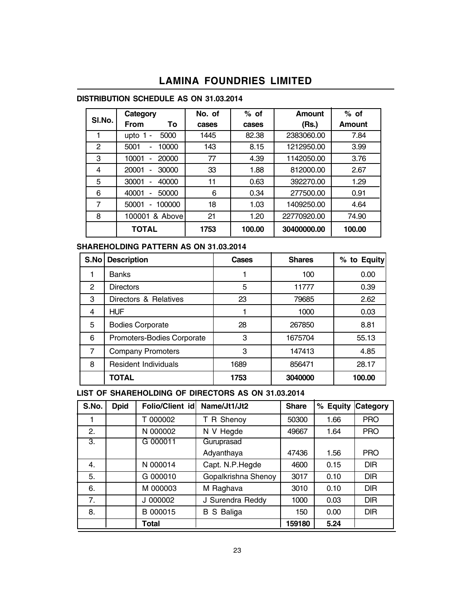#### DISTRIBUTION SCHEDULE AS ON 31.03.2014

|        | Category             | No. of | $%$ of | Amount      | $%$ of |
|--------|----------------------|--------|--------|-------------|--------|
| SI.No. | <b>From</b><br>To    | cases  | cases  | (Rs.)       | Amount |
|        | 5000<br>upto         | 1445   | 82.38  | 2383060.00  | 7.84   |
| 2      | 10000<br>5001<br>۰   | 143    | 8.15   | 1212950.00  | 3.99   |
| 3      | 10001<br>20000       | 77     | 4.39   | 1142050.00  | 3.76   |
| 4      | 30000<br>20001<br>۰  | 33     | 1.88   | 812000.00   | 2.67   |
| 5      | 40000<br>30001       | 11     | 0.63   | 392270.00   | 1.29   |
| 6      | 50000<br>40001       | 6      | 0.34   | 277500.00   | 0.91   |
| 7      | 100000<br>50001<br>۰ | 18     | 1.03   | 1409250.00  | 4.64   |
| 8      | & Above<br>100001    | 21     | 1.20   | 22770920.00 | 74.90  |
|        | <b>TOTAL</b>         | 1753   | 100.00 | 30400000.00 | 100.00 |

### SHAREHOLDING PATTERN AS ON 31.03.2014

| S.No           | <b>Description</b>         | Cases | <b>Shares</b> | % to Equity |
|----------------|----------------------------|-------|---------------|-------------|
|                | <b>Banks</b>               |       | 100           | 0.00        |
| $\overline{2}$ | <b>Directors</b>           | 5     | 11777         | 0.39        |
| 3              | Directors & Relatives      | 23    | 79685         | 2.62        |
| 4              | <b>HUF</b>                 |       | 1000          | 0.03        |
| 5              | <b>Bodies Corporate</b>    | 28    | 267850        | 8.81        |
| 6              | Promoters-Bodies Corporate | 3     | 1675704       | 55.13       |
| 7              | <b>Company Promoters</b>   | 3     | 147413        | 4.85        |
| 8              | Resident Individuals       | 1689  | 856471        | 28.17       |
|                | TOTAL                      | 1753  | 3040000       | 100.00      |

LIST OF SHAREHOLDING OF DIRECTORS AS ON 31.03.2014

| S.No. | <b>Dpid</b> | <b>Folio/Client id</b> | Name/Jt1/Jt2        | <b>Share</b> | % Equity | <b>Category</b> |
|-------|-------------|------------------------|---------------------|--------------|----------|-----------------|
|       |             | T 000002               | R Shenoy<br>т       | 50300        | 1.66     | <b>PRO</b>      |
| 2.    |             | N 000002               | N V Hegde           | 49667        | 1.64     | <b>PRO</b>      |
| 3.    |             | G 000011               | Guruprasad          |              |          |                 |
|       |             |                        | Adyanthaya          | 47436        | 1.56     | <b>PRO</b>      |
| 4.    |             | N 000014               | Capt. N.P.Hegde     | 4600         | 0.15     | <b>DIR</b>      |
| 5.    |             | G 000010               | Gopalkrishna Shenoy | 3017         | 0.10     | <b>DIR</b>      |
| 6.    |             | M 000003               | M Raghava           | 3010         | 0.10     | <b>DIR</b>      |
| 7.    |             | J 000002               | J Surendra Reddy    | 1000         | 0.03     | <b>DIR</b>      |
| 8.    |             | B 000015               | S Baliga<br>в       | 150          | 0.00     | <b>DIR</b>      |
|       |             | Total                  |                     | 159180       | 5.24     |                 |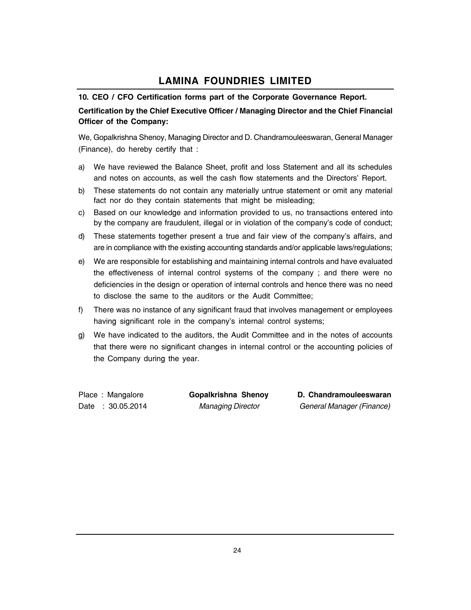#### 10. CEO / CFO Certification forms part of the Corporate Governance Report.

### Certification by the Chief Executive Officer / Managing Director and the Chief Financial Officer of the Company:

We, Gopalkrishna Shenoy, Managing Director and D. Chandramouleeswaran, General Manager (Finance), do hereby certify that :

- a) We have reviewed the Balance Sheet, profit and loss Statement and all its schedules and notes on accounts, as well the cash flow statements and the Directors' Report.
- b) These statements do not contain any materially untrue statement or omit any material fact nor do they contain statements that might be misleading;
- c) Based on our knowledge and information provided to us, no transactions entered into by the company are fraudulent, illegal or in violation of the company's code of conduct;
- d) These statements together present a true and fair view of the company's affairs, and are in compliance with the existing accounting standards and/or applicable laws/regulations;
- e) We are responsible for establishing and maintaining internal controls and have evaluated the effectiveness of internal control systems of the company ; and there were no deficiencies in the design or operation of internal controls and hence there was no need to disclose the same to the auditors or the Audit Committee;
- f) There was no instance of any significant fraud that involves management or employees having significant role in the company's internal control systems;
- g) We have indicated to the auditors, the Audit Committee and in the notes of accounts that there were no significant changes in internal control or the accounting policies of the Company during the year.

Place : Mangalore **Gopalkrishna Shenoy D. Chandramouleeswaran** Date : 30.05.2014 Managing Director General Manager (Finance)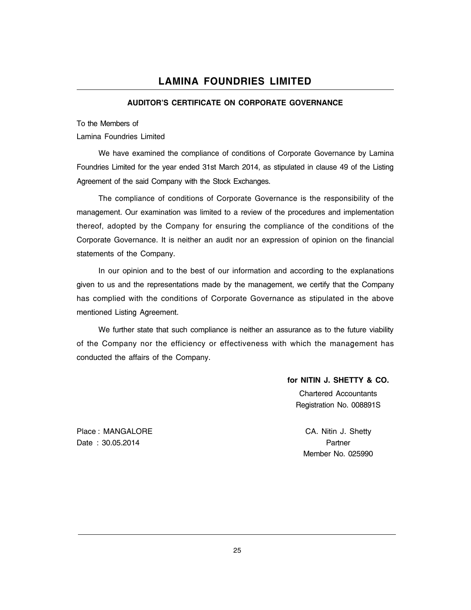#### AUDITOR'S CERTIFICATE ON CORPORATE GOVERNANCE

To the Members of

Lamina Foundries Limited

We have examined the compliance of conditions of Corporate Governance by Lamina Foundries Limited for the year ended 31st March 2014, as stipulated in clause 49 of the Listing Agreement of the said Company with the Stock Exchanges.

The compliance of conditions of Corporate Governance is the responsibility of the management. Our examination was limited to a review of the procedures and implementation thereof, adopted by the Company for ensuring the compliance of the conditions of the Corporate Governance. It is neither an audit nor an expression of opinion on the financial statements of the Company.

In our opinion and to the best of our information and according to the explanations given to us and the representations made by the management, we certify that the Company has complied with the conditions of Corporate Governance as stipulated in the above mentioned Listing Agreement.

We further state that such compliance is neither an assurance as to the future viability of the Company nor the efficiency or effectiveness with which the management has conducted the affairs of the Company.

for NITIN J. SHETTY & CO.

Chartered Accountants Registration No. 008891S

Place : MANGALORE CA. Nitin J. Shetty Date : 30.05.2014 **Partner** 

Member No. 025990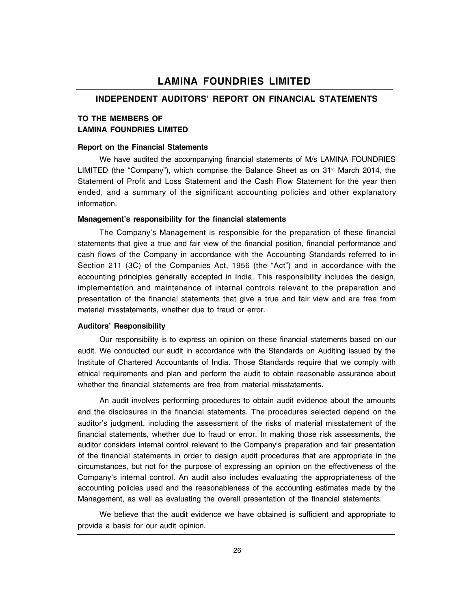### INDEPENDENT AUDITORS' REPORT ON FINANCIAL STATEMENTS

#### TO THE MEMBERS OF LAMINA FOUNDRIES LIMITED

#### Report on the Financial Statements

We have audited the accompanying financial statements of M/s LAMINA FOUNDRIES LIMITED (the "Company"), which comprise the Balance Sheet as on  $31^{st}$  March 2014, the Statement of Profit and Loss Statement and the Cash Flow Statement for the year then ended, and a summary of the significant accounting policies and other explanatory information.

#### Management's responsibility for the financial statements

The Companyís Management is responsible for the preparation of these financial statements that give a true and fair view of the financial position, financial performance and cash flows of the Company in accordance with the Accounting Standards referred to in Section 211 (3C) of the Companies Act, 1956 (the "Act") and in accordance with the accounting principles generally accepted in India. This responsibility includes the design, implementation and maintenance of internal controls relevant to the preparation and presentation of the financial statements that give a true and fair view and are free from material misstatements, whether due to fraud or error.

#### **Auditors' Responsibility**

Our responsibility is to express an opinion on these financial statements based on our audit. We conducted our audit in accordance with the Standards on Auditing issued by the Institute of Chartered Accountants of India. Those Standards require that we comply with ethical requirements and plan and perform the audit to obtain reasonable assurance about whether the financial statements are free from material misstatements.

An audit involves performing procedures to obtain audit evidence about the amounts and the disclosures in the financial statements. The procedures selected depend on the auditorís judgment, including the assessment of the risks of material misstatement of the financial statements, whether due to fraud or error. In making those risk assessments, the auditor considers internal control relevant to the Companyís preparation and fair presentation of the financial statements in order to design audit procedures that are appropriate in the circumstances, but not for the purpose of expressing an opinion on the effectiveness of the Companyís internal control. An audit also includes evaluating the appropriateness of the accounting policies used and the reasonableness of the accounting estimates made by the Management, as well as evaluating the overall presentation of the financial statements.

We believe that the audit evidence we have obtained is sufficient and appropriate to provide a basis for our audit opinion.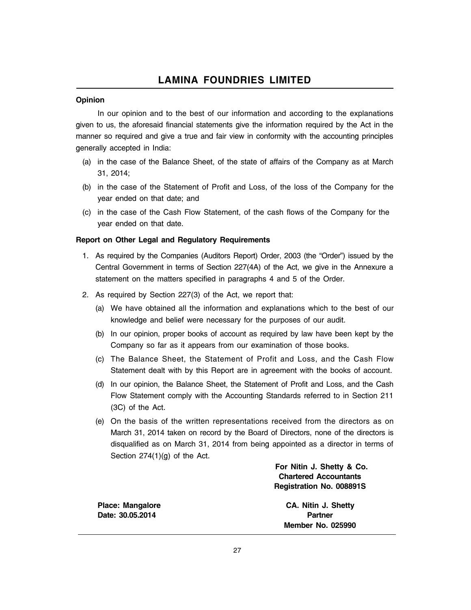#### Opinion

In our opinion and to the best of our information and according to the explanations given to us, the aforesaid financial statements give the information required by the Act in the manner so required and give a true and fair view in conformity with the accounting principles generally accepted in India:

- (a) in the case of the Balance Sheet, of the state of affairs of the Company as at March 31, 2014;
- (b) in the case of the Statement of Profit and Loss, of the loss of the Company for the year ended on that date; and
- (c) in the case of the Cash Flow Statement, of the cash flows of the Company for the year ended on that date.

#### Report on Other Legal and Regulatory Requirements

- 1. As required by the Companies (Auditors Report) Order, 2003 (the "Order") issued by the Central Government in terms of Section 227(4A) of the Act, we give in the Annexure a statement on the matters specified in paragraphs 4 and 5 of the Order.
- 2. As required by Section 227(3) of the Act, we report that:
	- (a) We have obtained all the information and explanations which to the best of our knowledge and belief were necessary for the purposes of our audit.
	- (b) In our opinion, proper books of account as required by law have been kept by the Company so far as it appears from our examination of those books.
	- (c) The Balance Sheet, the Statement of Profit and Loss, and the Cash Flow Statement dealt with by this Report are in agreement with the books of account.
	- (d) In our opinion, the Balance Sheet, the Statement of Profit and Loss, and the Cash Flow Statement comply with the Accounting Standards referred to in Section 211 (3C) of the Act.
	- (e) On the basis of the written representations received from the directors as on March 31, 2014 taken on record by the Board of Directors, none of the directors is disqualified as on March 31, 2014 from being appointed as a director in terms of Section 274(1)(g) of the Act.

For Nitin J. Shetty & Co. Chartered Accountants Registration No. 008891S

Date: 30.05.2014 **Partner** 

Place: Mangalore CA. Nitin J. Shetty Member No. 025990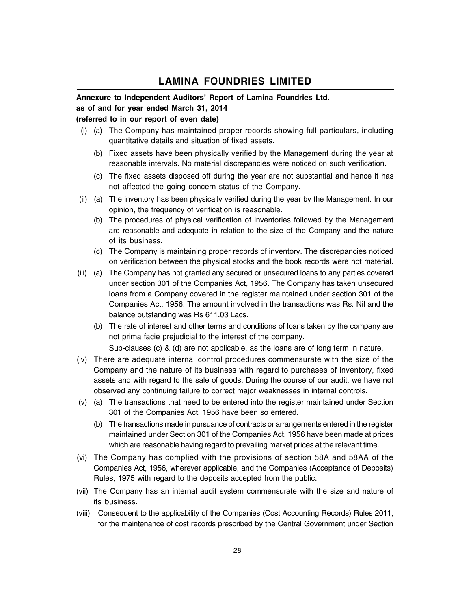#### Annexure to Independent Auditors' Report of Lamina Foundries Ltd.

#### as of and for year ended March 31, 2014

#### (referred to in our report of even date)

- (i) (a) The Company has maintained proper records showing full particulars, including quantitative details and situation of fixed assets.
	- (b) Fixed assets have been physically verified by the Management during the year at reasonable intervals. No material discrepancies were noticed on such verification.
	- (c) The fixed assets disposed off during the year are not substantial and hence it has not affected the going concern status of the Company.
- (ii) (a) The inventory has been physically verified during the year by the Management. In our opinion, the frequency of verification is reasonable.
	- (b) The procedures of physical verification of inventories followed by the Management are reasonable and adequate in relation to the size of the Company and the nature of its business.
	- (c) The Company is maintaining proper records of inventory. The discrepancies noticed on verification between the physical stocks and the book records were not material.
- (iii) (a) The Company has not granted any secured or unsecured loans to any parties covered under section 301 of the Companies Act, 1956. The Company has taken unsecured loans from a Company covered in the register maintained under section 301 of the Companies Act, 1956. The amount involved in the transactions was Rs. Nil and the balance outstanding was Rs 611.03 Lacs.
	- (b) The rate of interest and other terms and conditions of loans taken by the company are not prima facie prejudicial to the interest of the company.

Sub-clauses (c) & (d) are not applicable, as the loans are of long term in nature.

- (iv) There are adequate internal control procedures commensurate with the size of the Company and the nature of its business with regard to purchases of inventory, fixed assets and with regard to the sale of goods. During the course of our audit, we have not observed any continuing failure to correct major weaknesses in internal controls.
- (v) (a) The transactions that need to be entered into the register maintained under Section 301 of the Companies Act, 1956 have been so entered.
	- (b) The transactions made in pursuance of contracts or arrangements entered in the register maintained under Section 301 of the Companies Act, 1956 have been made at prices which are reasonable having regard to prevailing market prices at the relevant time.
- (vi) The Company has complied with the provisions of section 58A and 58AA of the Companies Act, 1956, wherever applicable, and the Companies (Acceptance of Deposits) Rules, 1975 with regard to the deposits accepted from the public.
- (vii) The Company has an internal audit system commensurate with the size and nature of its business.
- (viii) Consequent to the applicability of the Companies (Cost Accounting Records) Rules 2011, for the maintenance of cost records prescribed by the Central Government under Section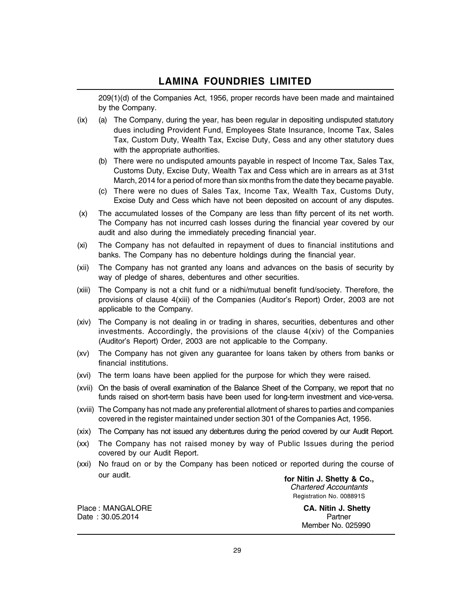209(1)(d) of the Companies Act, 1956, proper records have been made and maintained by the Company.

- $(ix)$  (a) The Company, during the year, has been regular in depositing undisputed statutory dues including Provident Fund, Employees State Insurance, Income Tax, Sales Tax, Custom Duty, Wealth Tax, Excise Duty, Cess and any other statutory dues with the appropriate authorities.
	- (b) There were no undisputed amounts payable in respect of Income Tax, Sales Tax, Customs Duty, Excise Duty, Wealth Tax and Cess which are in arrears as at 31st March, 2014 for a period of more than six months from the date they became payable.
	- (c) There were no dues of Sales Tax, Income Tax, Wealth Tax, Customs Duty, Excise Duty and Cess which have not been deposited on account of any disputes.
- (x) The accumulated losses of the Company are less than fifty percent of its net worth. The Company has not incurred cash losses during the financial year covered by our audit and also during the immediately preceding financial year.
- (xi) The Company has not defaulted in repayment of dues to financial institutions and banks. The Company has no debenture holdings during the financial year.
- (xii) The Company has not granted any loans and advances on the basis of security by way of pledge of shares, debentures and other securities.
- (xiii) The Company is not a chit fund or a nidhi/mutual benefit fund/society. Therefore, the provisions of clause 4(xiii) of the Companies (Auditor's Report) Order, 2003 are not applicable to the Company.
- (xiv) The Company is not dealing in or trading in shares, securities, debentures and other investments. Accordingly, the provisions of the clause 4(xiv) of the Companies (Auditor's Report) Order, 2003 are not applicable to the Company.
- (xv) The Company has not given any guarantee for loans taken by others from banks or financial institutions.
- (xvi) The term loans have been applied for the purpose for which they were raised.
- (xvii) On the basis of overall examination of the Balance Sheet of the Company, we report that no funds raised on short-term basis have been used for long-term investment and vice-versa.
- (xviii) The Company has not made any preferential allotment of shares to parties and companies covered in the register maintained under section 301 of the Companies Act, 1956.
- (xix) The Company has not issued any debentures during the period covered by our Audit Report.
- (xx) The Company has not raised money by way of Public Issues during the period covered by our Audit Report.
- (xxi) No fraud on or by the Company has been noticed or reported during the course of our audit.

for Nitin J. Shetty & Co., Chartered Accountants Registration No. 008891S

Place : MANGALORE **CA. Nitin J. Shetty** Date : 30.05.2014 **Partner** 

Member No. 025990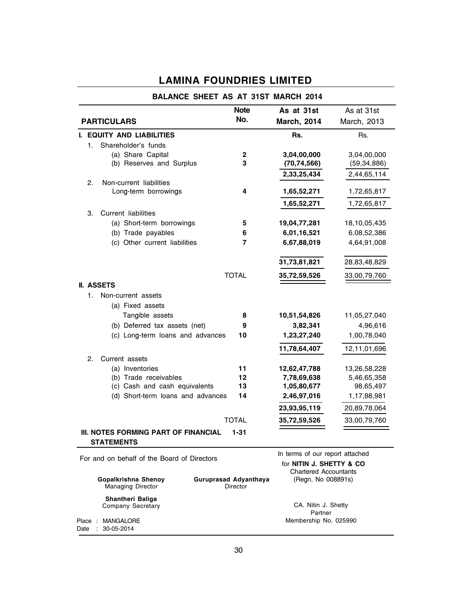|                                                           | <b>Note</b>  | As at 31st                                                                                  | As at 31st    |
|-----------------------------------------------------------|--------------|---------------------------------------------------------------------------------------------|---------------|
| <b>PARTICULARS</b>                                        | No.          | <b>March, 2014</b>                                                                          | March, 2013   |
| I. EQUITY AND LIABILITIES                                 |              | Rs.                                                                                         | Rs.           |
| Shareholder's funds<br>1.                                 |              |                                                                                             |               |
| (a) Share Capital                                         | $\mathbf 2$  | 3,04,00,000                                                                                 | 3,04,00,000   |
| (b) Reserves and Surplus                                  | 3            | (70, 74, 566)                                                                               | (59, 34, 886) |
|                                                           |              | 2,33,25,434                                                                                 | 2,44,65,114   |
| 2.<br>Non-current liabilities                             |              |                                                                                             |               |
| Long-term borrowings                                      | 4            | 1,65,52,271                                                                                 | 1,72,65,817   |
|                                                           |              | 1,65,52,271                                                                                 | 1,72,65,817   |
| <b>Current liabilities</b><br>З.                          |              |                                                                                             |               |
| (a) Short-term borrowings                                 | 5            | 19,04,77,281                                                                                | 18,10,05,435  |
| (b) Trade payables                                        | 6            | 6,01,16,521                                                                                 | 6,08,52,386   |
| (c) Other current liabilities                             | 7            | 6,67,88,019                                                                                 | 4,64,91,008   |
|                                                           |              | 31,73,81,821                                                                                | 28,83,48,829  |
|                                                           | <b>TOTAL</b> | 35,72,59,526                                                                                | 33,00,79,760  |
| <b>II. ASSETS</b>                                         |              |                                                                                             |               |
| 1.<br>Non-current assets                                  |              |                                                                                             |               |
| (a) Fixed assets                                          |              |                                                                                             |               |
| Tangible assets                                           | 8            | 10,51,54,826                                                                                | 11,05,27,040  |
| (b) Deferred tax assets (net)                             | 9            | 3,82,341                                                                                    | 4,96,616      |
| (c) Long-term loans and advances                          | 10           | 1,23,27,240                                                                                 | 1,00,78,040   |
|                                                           |              | 11,78,64,407                                                                                | 12,11,01,696  |
| 2.<br>Current assets                                      |              |                                                                                             |               |
| (a) Inventories                                           | 11           | 12,62,47,788                                                                                | 13,26,58,228  |
| (b) Trade receivables                                     | 12           | 7,78,69,638                                                                                 | 5,46,65,358   |
| (c) Cash and cash equivalents                             | 13           | 1,05,80,677                                                                                 | 98,65,497     |
| (d) Short-term loans and advances                         | 14           | 2,46,97,016                                                                                 | 1,17,88,981   |
|                                                           |              | 23,93,95,119                                                                                | 20,89,78,064  |
|                                                           | <b>TOTAL</b> | 35,72,59,526                                                                                | 33,00,79,760  |
| III. NOTES FORMING PART OF FINANCIAL<br><b>STATEMENTS</b> | $1 - 31$     |                                                                                             |               |
| For and on behalf of the Board of Directors               |              | In terms of our report attached<br>for NITIN J. SHETTY & CO<br><b>Chartered Accountants</b> |               |

|  | Gopalkrishna Shenov<br><b>Managing Director</b> | Guruprasad Advanthaya<br>Director | <b>Chartered Accountants</b><br>(Regn. No 008891s) |  |
|--|-------------------------------------------------|-----------------------------------|----------------------------------------------------|--|
|  | Shantheri Baliga<br>Company Secretary           |                                   | CA. Nitin J. Shetty<br>Partner                     |  |
|  | Place : MANGALORE<br>Date: 30-05-2014           |                                   | Membership No. 025990                              |  |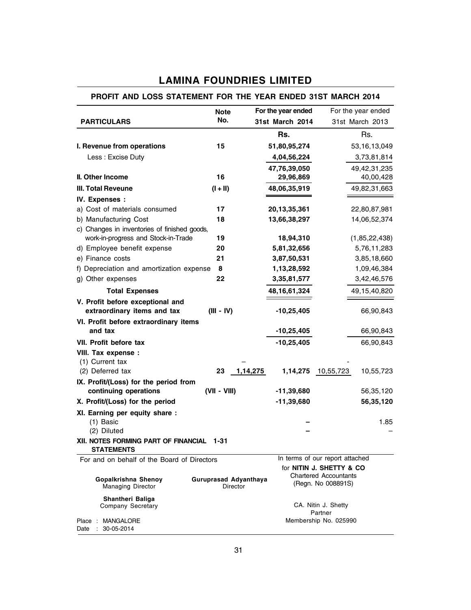| PROFIT AND LOSS STATEMENT FOR THE YEAR ENDED 31ST MARCH 2014    |                                   |                    |                                                    |
|-----------------------------------------------------------------|-----------------------------------|--------------------|----------------------------------------------------|
|                                                                 | <b>Note</b>                       | For the year ended | For the year ended                                 |
| <b>PARTICULARS</b>                                              | No.                               | 31st March 2014    | 31st March 2013                                    |
|                                                                 |                                   | Rs.                | Rs.                                                |
| I. Revenue from operations                                      | 15                                | 51,80,95,274       | 53,16,13,049                                       |
| Less: Excise Duty                                               |                                   | 4,04,56,224        | 3,73,81,814                                        |
|                                                                 |                                   | 47,76,39,050       | 49, 42, 31, 235                                    |
| II. Other Income                                                | 16                                | 29,96,869          | 40,00,428                                          |
| <b>III. Total Reveune</b>                                       | $(I + II)$                        | 48,06,35,919       | 49,82,31,663                                       |
| IV. Expenses :                                                  |                                   |                    |                                                    |
| a) Cost of materials consumed                                   | 17                                | 20, 13, 35, 361    | 22,80,87,981                                       |
| b) Manufacturing Cost                                           | 18                                | 13,66,38,297       | 14,06,52,374                                       |
| c) Changes in inventories of finished goods,                    |                                   |                    |                                                    |
| work-in-progress and Stock-in-Trade                             | 19                                | 18,94,310          | (1,85,22,438)                                      |
| d) Employee benefit expense                                     | 20                                | 5,81,32,656        | 5,76,11,283                                        |
| e) Finance costs                                                | 21                                | 3,87,50,531        | 3,85,18,660                                        |
| f) Depreciation and amortization expense                        | 8                                 | 1,13,28,592        | 1,09,46,384                                        |
| g) Other expenses                                               | 22                                | 3, 35, 81, 577     | 3,42,46,576                                        |
| <b>Total Expenses</b>                                           |                                   | 48, 16, 61, 324    | 49,15,40,820                                       |
| V. Profit before exceptional and<br>extraordinary items and tax | $(III - IV)$                      | $-10,25,405$       | 66,90,843                                          |
| VI. Profit before extraordinary items                           |                                   |                    |                                                    |
| and tax                                                         |                                   | $-10,25,405$       | 66,90,843                                          |
| VII. Profit before tax                                          |                                   | $-10,25,405$       | 66,90,843                                          |
| VIII. Tax expense :                                             |                                   |                    |                                                    |
| (1) Current tax                                                 |                                   |                    |                                                    |
| (2) Deferred tax                                                | 1,14,275<br>23                    | 1,14,275           | 10,55,723<br>10,55,723                             |
| IX. Profit/(Loss) for the period from                           | (VII - VIII)                      |                    |                                                    |
| continuing operations                                           |                                   | -11,39,680         | 56,35,120                                          |
| X. Profit/(Loss) for the period                                 |                                   | $-11,39,680$       | 56,35,120                                          |
| XI. Earning per equity share :<br>$(1)$ Basic<br>(2) Diluted    |                                   |                    | 1.85                                               |
| XII. NOTES FORMING PART OF FINANCIAL 1-31<br><b>STATEMENTS</b>  |                                   |                    |                                                    |
| For and on behalf of the Board of Directors                     |                                   |                    | In terms of our report attached                    |
|                                                                 |                                   |                    | for <b>NITIN J. SHETTY &amp; CO</b>                |
| Gopalkrishna Shenoy<br><b>Managing Director</b>                 | Guruprasad Adyanthaya<br>Director |                    | <b>Chartered Accountants</b><br>(Regn. No 008891S) |
| Shantheri Baliga                                                |                                   |                    |                                                    |
| Company Secretary                                               |                                   |                    | CA. Nitin J. Shetty                                |
| Place : MANGALORE<br>30-05-2014<br>Date :                       |                                   |                    | Partner<br>Membership No. 025990                   |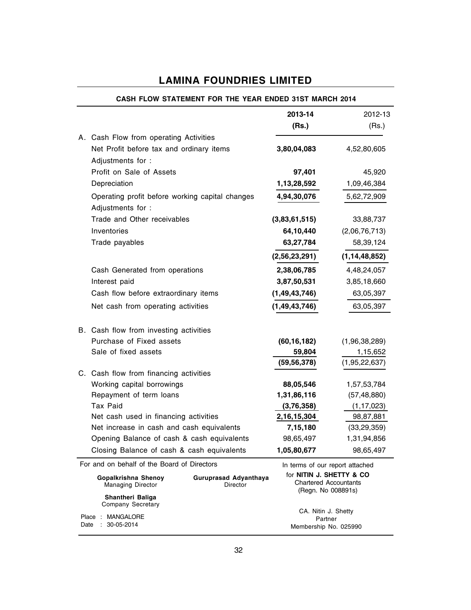|                                                 | CASH FLOW STATEMENT FOR THE YEAR ENDED 31ST MARCH 2014 |                                                                                    |                  |
|-------------------------------------------------|--------------------------------------------------------|------------------------------------------------------------------------------------|------------------|
|                                                 |                                                        | 2013-14                                                                            | 2012-13          |
|                                                 |                                                        | (Rs.)                                                                              | (Rs.)            |
| A. Cash Flow from operating Activities          |                                                        |                                                                                    |                  |
| Net Profit before tax and ordinary items        |                                                        | 3,80,04,083                                                                        | 4,52,80,605      |
| Adjustments for:                                |                                                        |                                                                                    |                  |
| Profit on Sale of Assets                        |                                                        | 97,401                                                                             | 45,920           |
| Depreciation                                    |                                                        | 1,13,28,592                                                                        | 1,09,46,384      |
| Operating profit before working capital changes |                                                        | 4,94,30,076                                                                        | 5,62,72,909      |
| Adjustments for :                               |                                                        |                                                                                    |                  |
| Trade and Other receivables                     |                                                        | (3,83,61,515)                                                                      | 33,88,737        |
| Inventories                                     |                                                        | 64,10,440                                                                          | (2,06,76,713)    |
| Trade payables                                  |                                                        | 63,27,784                                                                          | 58,39,124        |
|                                                 |                                                        | (2,56,23,291)                                                                      | (1, 14, 48, 852) |
| Cash Generated from operations                  |                                                        | 2,38,06,785                                                                        | 4,48,24,057      |
| Interest paid                                   |                                                        | 3,87,50,531                                                                        | 3,85,18,660      |
| Cash flow before extraordinary items            |                                                        | (1, 49, 43, 746)                                                                   | 63,05,397        |
| Net cash from operating activities              |                                                        | (1, 49, 43, 746)                                                                   | 63,05,397        |
|                                                 |                                                        |                                                                                    |                  |
| B. Cash flow from investing activities          |                                                        |                                                                                    |                  |
| Purchase of Fixed assets                        |                                                        | (60, 16, 182)                                                                      | (1,96,38,289)    |
| Sale of fixed assets                            |                                                        | 59,804                                                                             | 1,15,652         |
|                                                 |                                                        | (59, 56, 378)                                                                      | (1,95,22,637)    |
| C. Cash flow from financing activities          |                                                        |                                                                                    |                  |
| Working capital borrowings                      |                                                        | 88,05,546                                                                          | 1,57,53,784      |
| Repayment of term loans                         |                                                        | 1,31,86,116                                                                        | (57, 48, 880)    |
| Tax Paid                                        |                                                        | (3,76,358)                                                                         | (1, 17, 023)     |
| Net cash used in financing activities           |                                                        | 2, 16, 15, 304                                                                     | 98,87,881        |
| Net increase in cash and cash equivalents       |                                                        | 7,15,180                                                                           | (33, 29, 359)    |
| Opening Balance of cash & cash equivalents      |                                                        | 98,65,497                                                                          | 1,31,94,856      |
| Closing Balance of cash & cash equivalents      |                                                        | 1,05,80,677                                                                        | 98,65,497        |
| For and on behalf of the Board of Directors     |                                                        | In terms of our report attached                                                    |                  |
| <b>Gopalkrishna Shenoy</b><br>Managing Director | Guruprasad Adyanthaya<br>Director                      | for <b>NITIN J. SHETTY &amp; CO</b><br>Chartered Accountants<br>(Regn. No 008891s) |                  |
| Shantheri Baliga<br>Company Secretary           |                                                        |                                                                                    |                  |
| Place : MANGALORE                               |                                                        | CA. Nitin J. Shetty<br>Partner                                                     |                  |

## CASH FLOW STATEMENT FOR THE YEAR ENDED 31ST MARCH 2014

Membership No. 025990

Date : 30-05-2014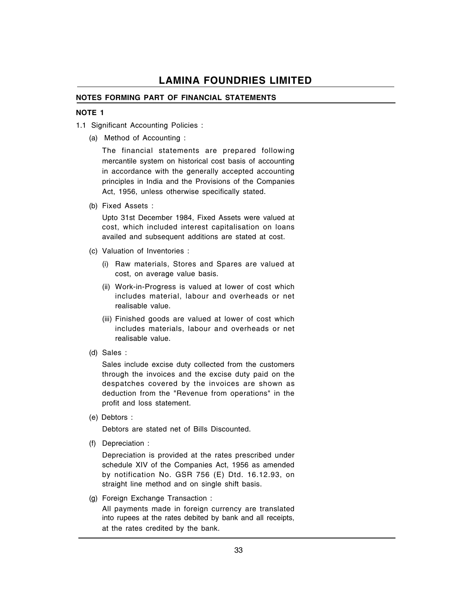#### NOTES FORMING PART OF FINANCIAL STATEMENTS

#### NOTE 1

- 1.1 Significant Accounting Policies :
	- (a) Method of Accounting :

The financial statements are prepared following mercantile system on historical cost basis of accounting in accordance with the generally accepted accounting principles in India and the Provisions of the Companies Act, 1956, unless otherwise specifically stated.

(b) Fixed Assets :

Upto 31st December 1984, Fixed Assets were valued at cost, which included interest capitalisation on loans availed and subsequent additions are stated at cost.

- (c) Valuation of Inventories :
	- (i) Raw materials, Stores and Spares are valued at cost, on average value basis.
	- (ii) Work-in-Progress is valued at lower of cost which includes material, labour and overheads or net realisable value.
	- (iii) Finished goods are valued at lower of cost which includes materials, labour and overheads or net realisable value.
- (d) Sales :

Sales include excise duty collected from the customers through the invoices and the excise duty paid on the despatches covered by the invoices are shown as deduction from the "Revenue from operations" in the profit and loss statement.

(e) Debtors :

Debtors are stated net of Bills Discounted.

(f) Depreciation :

Depreciation is provided at the rates prescribed under schedule XIV of the Companies Act, 1956 as amended by notification No. GSR 756 (E) Dtd. 16.12.93, on straight line method and on single shift basis.

(g) Foreign Exchange Transaction :

All payments made in foreign currency are translated into rupees at the rates debited by bank and all receipts, at the rates credited by the bank.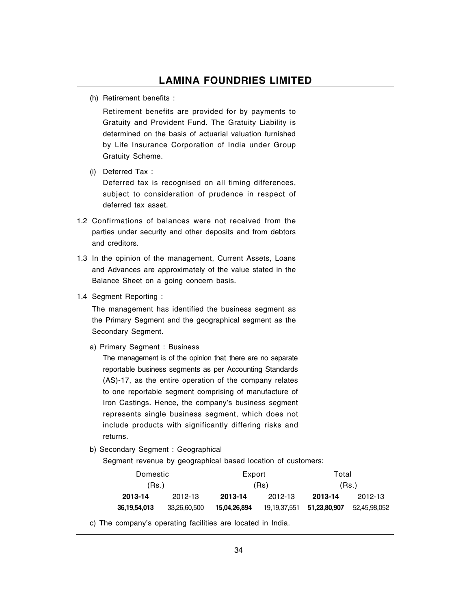(h) Retirement benefits :

Retirement benefits are provided for by payments to Gratuity and Provident Fund. The Gratuity Liability is determined on the basis of actuarial valuation furnished by Life Insurance Corporation of India under Group Gratuity Scheme.

(i) Deferred Tax :

Deferred tax is recognised on all timing differences, subject to consideration of prudence in respect of deferred tax asset.

- 1.2 Confirmations of balances were not received from the parties under security and other deposits and from debtors and creditors.
- 1.3 In the opinion of the management, Current Assets, Loans and Advances are approximately of the value stated in the Balance Sheet on a going concern basis.
- 1.4 Segment Reporting :

The management has identified the business segment as the Primary Segment and the geographical segment as the Secondary Segment.

a) Primary Segment : Business

The management is of the opinion that there are no separate reportable business segments as per Accounting Standards (AS)-17, as the entire operation of the company relates to one reportable segment comprising of manufacture of Iron Castings. Hence, the company's business segment represents single business segment, which does not include products with significantly differing risks and returns.

b) Secondary Segment : Geographical

Segment revenue by geographical based location of customers:

| Domestic     |              | Export       |              | Total        |              |  |
|--------------|--------------|--------------|--------------|--------------|--------------|--|
| (Rs.)        |              | (Rs)         |              | (Rs.)        |              |  |
| 2013-14      | 2012-13      | 2013-14      | 2012-13      | 2013-14      | 2012-13      |  |
| 36,19,54,013 | 33.26.60.500 | 15.04.26.894 | 19,19,37,551 | 51,23,80,907 | 52.45.98.052 |  |

c) The company's operating facilities are located in India.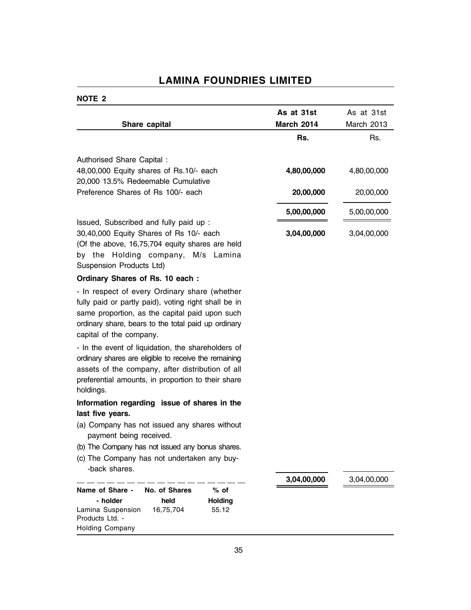### NOTE 2

|                                                                       | As at 31st        | As at 31st  |
|-----------------------------------------------------------------------|-------------------|-------------|
| Share capital                                                         | <b>March 2014</b> | March 2013  |
|                                                                       | Rs.               | Rs.         |
|                                                                       |                   |             |
| Authorised Share Capital :<br>48,00,000 Equity shares of Rs.10/- each | 4,80,00,000       | 4,80,00,000 |
| 20,000 13.5% Redeemable Cumulative                                    |                   |             |
| Preference Shares of Rs 100/- each                                    | 20,00,000         | 20,00,000   |
|                                                                       |                   |             |
|                                                                       | 5,00,00,000       | 5,00,00,000 |
| Issued, Subscribed and fully paid up :                                |                   |             |
| 30,40,000 Equity Shares of Rs 10/- each                               | 3,04,00,000       | 3,04,00,000 |
| (Of the above, 16,75,704 equity shares are held                       |                   |             |
| by the Holding company, M/s Lamina                                    |                   |             |
| Suspension Products Ltd)                                              |                   |             |
| Ordinary Shares of Rs. 10 each:                                       |                   |             |
| - In respect of every Ordinary share (whether                         |                   |             |
| fully paid or partly paid), voting right shall be in                  |                   |             |
| same proportion, as the capital paid upon such                        |                   |             |
| ordinary share, bears to the total paid up ordinary                   |                   |             |
| capital of the company.                                               |                   |             |
| - In the event of liquidation, the shareholders of                    |                   |             |
| ordinary shares are eligible to receive the remaining                 |                   |             |
| assets of the company, after distribution of all                      |                   |             |
| preferential amounts, in proportion to their share                    |                   |             |
| holdings.                                                             |                   |             |
| Information regarding issue of shares in the                          |                   |             |
| last five years.                                                      |                   |             |
| (a) Company has not issued any shares without                         |                   |             |
| payment being received.                                               |                   |             |
| (b) The Company has not issued any bonus shares.                      |                   |             |
| (c) The Company has not undertaken any buy-<br>-back shares.          |                   |             |
|                                                                       | 3,04,00,000       | 3,04,00,000 |
| No. of Shares<br>Name of Share -<br>$%$ of                            |                   |             |
| - holder<br>held<br><b>Holding</b>                                    |                   |             |
| Lamina Suspension<br>16,75,704<br>55.12<br>Products Ltd. -            |                   |             |
| <b>Holding Company</b>                                                |                   |             |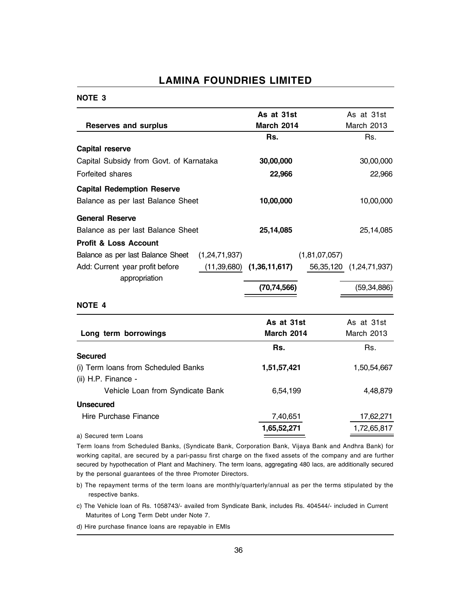#### NOTE 3

|                                                 | As at 31st        | As at 31st                    |
|-------------------------------------------------|-------------------|-------------------------------|
| <b>Reserves and surplus</b>                     | <b>March 2014</b> | March 2013                    |
|                                                 | Rs.               | Rs.                           |
| <b>Capital reserve</b>                          |                   |                               |
| Capital Subsidy from Govt. of Karnataka         | 30,00,000         | 30,00,000                     |
| Forfeited shares                                | 22,966            | 22,966                        |
| <b>Capital Redemption Reserve</b>               |                   |                               |
| Balance as per last Balance Sheet               | 10,00,000         | 10,00,000                     |
| <b>General Reserve</b>                          |                   |                               |
| Balance as per last Balance Sheet               | 25,14,085         | 25,14,085                     |
| <b>Profit &amp; Loss Account</b>                |                   |                               |
| Balance as per last Balance Sheet (1,24,71,937) |                   | (1,81,07,057)                 |
| Add: Current year profit before<br>(11,39,680)  | (1,36,11,617)     | 56,35,120<br>(1, 24, 71, 937) |
| appropriation                                   |                   |                               |
|                                                 | (70, 74, 566)     | (59, 34, 886)                 |
| <b>NOTE 4</b>                                   |                   |                               |
|                                                 | As at 31st        | As at 31st                    |
| Long term borrowings                            | <b>March 2014</b> | March 2013                    |
|                                                 | Rs.               | Rs.                           |
| <b>Secured</b>                                  |                   |                               |
| (i) Term loans from Scheduled Banks             | 1,51,57,421       | 1,50,54,667                   |
| (ii) H.P. Finance -                             |                   |                               |
| Vehicle Loan from Syndicate Bank                | 6,54,199          | 4,48,879                      |
| <b>Unsecured</b>                                |                   |                               |
| Hire Purchase Finance                           | 7,40,651          | 17,62,271                     |
|                                                 | 1,65,52,271       | 1,72,65,817                   |
| a) Secured term Loans                           |                   |                               |

Term loans from Scheduled Banks, (Syndicate Bank, Corporation Bank, Vijaya Bank and Andhra Bank) for working capital, are secured by a pari-passu first charge on the fixed assets of the company and are further secured by hypothecation of Plant and Machinery. The term loans, aggregating 480 lacs, are additionally secured by the personal guarantees of the three Promoter Directors.

- b) The repayment terms of the term loans are monthly/quarterly/annual as per the terms stipulated by the respective banks.
- c) The Vehicle loan of Rs. 1058743/- availed from Syndicate Bank, includes Rs. 404544/- included in Current Maturites of Long Term Debt under Note 7.
- d) Hire purchase finance loans are repayable in EMIs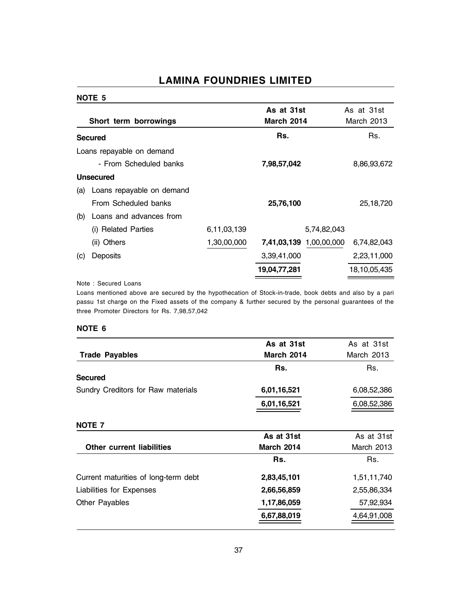#### NOTE 5

|     | Short term borrowings     |             | As at 31st<br><b>March 2014</b> |                         | As at 31st<br>March 2013 |
|-----|---------------------------|-------------|---------------------------------|-------------------------|--------------------------|
|     | <b>Secured</b>            |             | Rs.                             |                         | Rs.                      |
|     | Loans repayable on demand |             |                                 |                         |                          |
|     | - From Scheduled banks    |             | 7,98,57,042                     |                         | 8,86,93,672              |
|     | <b>Unsecured</b>          |             |                                 |                         |                          |
| (a) | Loans repayable on demand |             |                                 |                         |                          |
|     | From Scheduled banks      |             | 25,76,100                       |                         | 25,18,720                |
| (b) | Loans and advances from   |             |                                 |                         |                          |
|     | (i) Related Parties       | 6,11,03,139 |                                 | 5,74,82,043             |                          |
|     | (ii) Others               | 1,30,00,000 |                                 | 7,41,03,139 1,00,00,000 | 6,74,82,043              |
| (c) | Deposits                  |             | 3,39,41,000                     |                         | 2,23,11,000              |
|     |                           |             | 19,04,77,281                    |                         | 18,10,05,435             |

#### Note : Secured Loans

Loans mentioned above are secured by the hypothecation of Stock-in-trade, book debts and also by a pari passu 1st charge on the Fixed assets of the company & further secured by the personal guarantees of the three Promoter Directors for Rs. 7,98,57,042

#### NOTE 6

|                                      | As at 31st        | As at 31st  |  |
|--------------------------------------|-------------------|-------------|--|
| <b>Trade Payables</b>                | <b>March 2014</b> | March 2013  |  |
|                                      | Rs.               | Rs.         |  |
| <b>Secured</b>                       |                   |             |  |
| Sundry Creditors for Raw materials   | 6,01,16,521       | 6,08,52,386 |  |
|                                      | 6,01,16,521       | 6,08,52,386 |  |
| NOTE <sub>7</sub>                    |                   |             |  |
|                                      | As at 31st        | As at 31st  |  |
| <b>Other current liabilities</b>     | <b>March 2014</b> | March 2013  |  |
|                                      | Rs.               | Rs.         |  |
| Current maturities of long-term debt | 2,83,45,101       | 1,51,11,740 |  |
| Liabilities for Expenses             | 2,66,56,859       | 2,55,86,334 |  |
| <b>Other Payables</b>                | 1,17,86,059       | 57,92,934   |  |
|                                      | 6,67,88,019       | 4,64,91,008 |  |
|                                      |                   |             |  |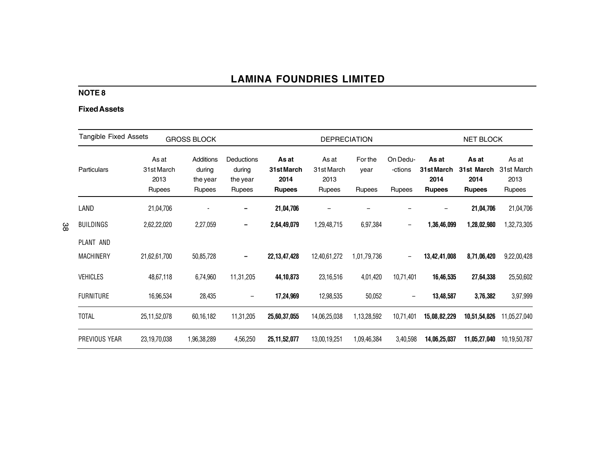### NOTE 8

#### Fixed Assets

| <b>Tangible Fixed Assets</b><br><b>GROSS BLOCK</b> |                                       |                                                  |                                            |                                              | <b>DEPRECIATION</b>                   |                                  |                                      |                                              | <b>NET BLOCK</b>                             |                                       |
|----------------------------------------------------|---------------------------------------|--------------------------------------------------|--------------------------------------------|----------------------------------------------|---------------------------------------|----------------------------------|--------------------------------------|----------------------------------------------|----------------------------------------------|---------------------------------------|
| Particulars                                        | As at<br>31st March<br>2013<br>Rupees | Additions<br>during<br>the year<br><b>Rupees</b> | Deductions<br>during<br>the year<br>Rupees | As at<br>31st March<br>2014<br><b>Rupees</b> | As at<br>31st March<br>2013<br>Rupees | For the<br>year<br><b>Rupees</b> | On Dedu-<br>-ctions<br><b>Rupees</b> | As at<br>31st March<br>2014<br><b>Rupees</b> | As at<br>31st March<br>2014<br><b>Rupees</b> | As at<br>31st March<br>2013<br>Rupees |
| LAND                                               | 21,04,706                             |                                                  |                                            | 21,04,706                                    |                                       |                                  |                                      |                                              | 21,04,706                                    | 21,04,706                             |
| <b>BUILDINGS</b>                                   | 2,62,22,020                           | 2,27,059                                         |                                            | 2,64,49,079                                  | 1,29,48,715                           | 6,97,384                         | $\qquad \qquad -$                    | 1,36,46,099                                  | 1,28,02,980                                  | 1,32,73,305                           |
| PLANT AND<br><b>MACHINERY</b>                      | 21,62,61,700                          | 50,85,728                                        |                                            | 22, 13, 47, 428                              | 12,40,61,272                          | 1,01,79,736                      | $\qquad \qquad -$                    | 13,42,41,008                                 | 8,71,06,420                                  | 9,22,00,428                           |
| <b>VEHICLES</b>                                    | 48,67,118                             | 6,74,960                                         | 11,31,205                                  | 44, 10, 873                                  | 23,16,516                             | 4,01,420                         | 10,71,401                            | 16,46,535                                    | 27,64,338                                    | 25,50,602                             |
| <b>FURNITURE</b>                                   | 16,96,534                             | 28,435                                           |                                            | 17,24,969                                    | 12,98,535                             | 50,052                           |                                      | 13,48,587                                    | 3,76,382                                     | 3,97,999                              |
| <b>TOTAL</b>                                       | 25,11,52,078                          | 60,16,182                                        | 11,31,205                                  | 25,60,37,055                                 | 14,06,25,038                          | 1,13,28,592                      | 10,71,401                            | 15,08,82,229                                 | 10,51,54,826                                 | 11,05,27,040                          |
| PREVIOUS YEAR                                      | 23,19,70,038                          | 1,96,38,289                                      | 4,56,250                                   | 25, 11, 52, 077                              | 13,00,19,251                          | 1,09,46,384                      | 3,40,598                             | 14,06,25,037                                 | 11,05,27,040                                 | 10,19,50,787                          |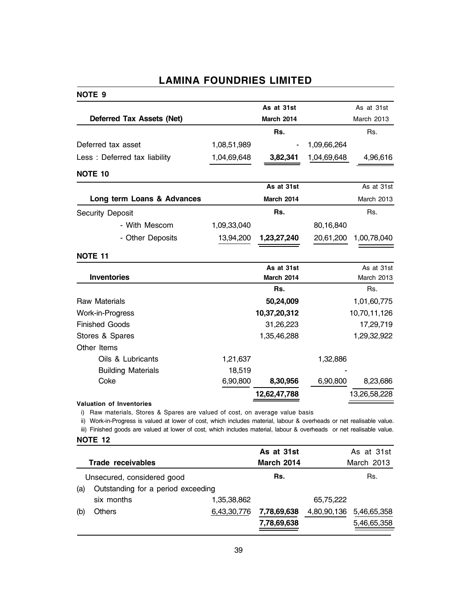#### NOTE 9

|                                  |             | As at 31st   |             | As at 31st        |
|----------------------------------|-------------|--------------|-------------|-------------------|
| <b>Deferred Tax Assets (Net)</b> |             | March 2014   |             | March 2013        |
|                                  |             | Rs.          |             | Rs.               |
| Deferred tax asset               | 1,08,51,989 |              | 1,09,66,264 |                   |
| Less: Deferred tax liability     | 1,04,69,648 | 3,82,341     | 1,04,69,648 | 4,96,616          |
| <b>NOTE 10</b>                   |             |              |             |                   |
|                                  |             | As at 31st   |             | As at 31st        |
| Long term Loans & Advances       |             | March 2014   |             | March 2013        |
| <b>Security Deposit</b>          |             | Rs.          |             | Rs.               |
| - With Mescom                    | 1,09,33,040 |              | 80,16,840   |                   |
| - Other Deposits                 | 13,94,200   | 1,23,27,240  | 20,61,200   | 1,00,78,040       |
| <b>NOTE 11</b>                   |             |              |             |                   |
|                                  |             | As at 31st   |             | As at 31st        |
| <b>Inventories</b>               |             | March 2014   |             | <b>March 2013</b> |
|                                  |             | Rs.          |             | Rs.               |
| Raw Materials                    |             | 50,24,009    |             | 1,01,60,775       |
| Work-in-Progress                 |             | 10,37,20,312 |             | 10,70,11,126      |
| <b>Finished Goods</b>            |             | 31,26,223    |             | 17,29,719         |
| Stores & Spares                  |             | 1,35,46,288  |             | 1,29,32,922       |
| Other Items                      |             |              |             |                   |
| Oils & Lubricants                | 1,21,637    |              | 1,32,886    |                   |
| <b>Building Materials</b>        | 18,519      |              |             |                   |
| Coke                             | 6,90,800    | 8,30,956     | 6,90,800    | 8,23,686          |
|                                  |             | 12,62,47,788 |             | 13,26,58,228      |
| Valuation of Inventories         |             |              |             |                   |

i) Raw materials, Stores & Spares are valued of cost, on average value basis

ii) Work-in-Progress is valued at lower of cost, which includes material, labour & overheads or net realisable value.

iii) Finished goods are valued at lower of cost, which includes material, labour & overheads or net realisable value.

| <b>NOTE</b> |  |  |
|-------------|--|--|
|-------------|--|--|

|     |                                    |             | As at 31st        |             | As at 31st  |
|-----|------------------------------------|-------------|-------------------|-------------|-------------|
|     | Trade receivables                  |             | <b>March 2014</b> |             | March 2013  |
|     | Unsecured, considered good         |             | Rs.               |             | Rs.         |
| (a) | Outstanding for a period exceeding |             |                   |             |             |
|     | six months                         | 1,35,38,862 |                   | 65,75,222   |             |
| (b) | <b>Others</b>                      | 6,43,30,776 | 7,78,69,638       | 4,80,90,136 | 5,46,65,358 |
|     |                                    |             | 7,78,69,638       |             | 5,46,65,358 |
|     |                                    |             |                   |             |             |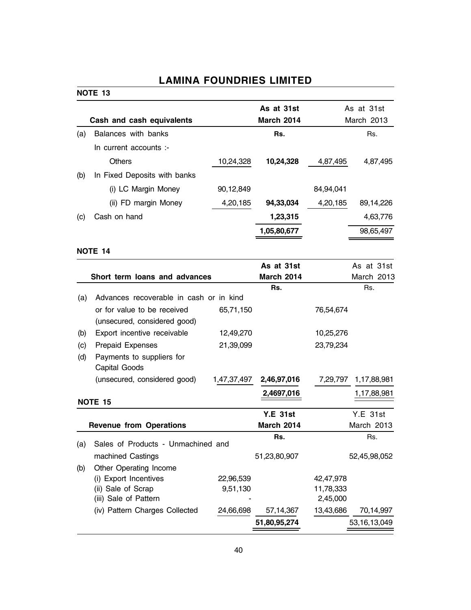### NOTE 13

|     |                              |           | As at 31st        |           | As at 31st |  |  |
|-----|------------------------------|-----------|-------------------|-----------|------------|--|--|
|     | Cash and cash equivalents    |           | <b>March 2014</b> |           | March 2013 |  |  |
| (a) | Balances with banks          |           | Rs.               |           | Rs.        |  |  |
|     | In current accounts :-       |           |                   |           |            |  |  |
|     | <b>Others</b>                | 10,24,328 | 10,24,328         | 4,87,495  | 4,87,495   |  |  |
| (b) | In Fixed Deposits with banks |           |                   |           |            |  |  |
|     | (i) LC Margin Money          | 90,12,849 |                   | 84,94,041 |            |  |  |
|     | (ii) FD margin Money         | 4,20,185  | 94,33,034         | 4,20,185  | 89,14,226  |  |  |
| (c) | Cash on hand                 |           | 1,23,315          |           | 4,63,776   |  |  |
|     |                              |           | 1,05,80,677       |           | 98,65,497  |  |  |
|     |                              |           |                   |           |            |  |  |

### NOTE 14

|                                            |                                                                                                                 | As at 31st                                                                                                                  |                                         | As at 31st  |                                                                                |
|--------------------------------------------|-----------------------------------------------------------------------------------------------------------------|-----------------------------------------------------------------------------------------------------------------------------|-----------------------------------------|-------------|--------------------------------------------------------------------------------|
|                                            |                                                                                                                 |                                                                                                                             |                                         |             |                                                                                |
|                                            |                                                                                                                 |                                                                                                                             |                                         |             |                                                                                |
| or for value to be received                | 65,71,150                                                                                                       |                                                                                                                             | 76,54,674                               |             |                                                                                |
|                                            |                                                                                                                 |                                                                                                                             |                                         |             |                                                                                |
|                                            |                                                                                                                 |                                                                                                                             |                                         |             |                                                                                |
| Prepaid Expenses                           | 21,39,099                                                                                                       |                                                                                                                             | 23,79,234                               |             |                                                                                |
| Payments to suppliers for<br>Capital Goods |                                                                                                                 |                                                                                                                             |                                         |             |                                                                                |
| (unsecured, considered good)               |                                                                                                                 | 2,46,97,016                                                                                                                 |                                         | 1,17,88,981 |                                                                                |
|                                            |                                                                                                                 | 2,4697,016                                                                                                                  |                                         | 1,17,88,981 |                                                                                |
|                                            |                                                                                                                 |                                                                                                                             |                                         |             |                                                                                |
|                                            |                                                                                                                 | <b>Y.E 31st</b>                                                                                                             |                                         | Y.E.31st    |                                                                                |
|                                            |                                                                                                                 | <b>March 2014</b>                                                                                                           |                                         |             |                                                                                |
|                                            |                                                                                                                 | Rs.                                                                                                                         |                                         | Rs.         |                                                                                |
| machined Castings                          |                                                                                                                 | 51,23,80,907                                                                                                                |                                         |             |                                                                                |
| Other Operating Income                     |                                                                                                                 |                                                                                                                             |                                         |             |                                                                                |
| (i) Export Incentives                      | 22,96,539                                                                                                       |                                                                                                                             | 42,47,978                               |             |                                                                                |
| (ii) Sale of Scrap                         | 9,51,130                                                                                                        |                                                                                                                             | 11,78,333                               |             |                                                                                |
| (iii) Sale of Pattern                      |                                                                                                                 |                                                                                                                             | 2,45,000                                |             |                                                                                |
| (iv) Pattern Charges Collected             | 24,66,698                                                                                                       | 57, 14, 367                                                                                                                 | 13,43,686                               |             | 70,14,997                                                                      |
|                                            |                                                                                                                 | 51,80,95,274                                                                                                                |                                         |             |                                                                                |
|                                            | (unsecured, considered good)<br>Export incentive receivable<br><b>NOTE 15</b><br><b>Revenue from Operations</b> | Short term loans and advances<br>Advances recoverable in cash or in kind<br>12,49,270<br>Sales of Products - Unmachined and | <b>March 2014</b><br>Rs.<br>1,47,37,497 | 10,25,276   | March 2013<br>Rs.<br>7,29,797<br>March 2013<br>52,45,98,052<br>53, 16, 13, 049 |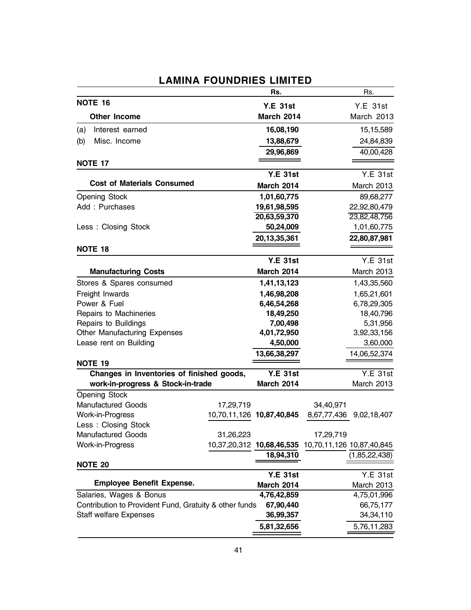|                                                        |           | Rs.                       |                          | Rs.                       |
|--------------------------------------------------------|-----------|---------------------------|--------------------------|---------------------------|
| <b>NOTE 16</b>                                         |           | <b>Y.E 31st</b>           |                          | <b>Y.E 31st</b>           |
| <b>Other Income</b>                                    |           | <b>March 2014</b>         |                          | March 2013                |
| Interest earned<br>(a)                                 |           | 16,08,190                 |                          | 15,15,589                 |
| Misc. Income<br>(b)                                    |           | 13,88,679                 |                          | 24,84,839                 |
|                                                        |           | 29,96,869                 |                          | 40,00,428                 |
| <b>NOTE 17</b>                                         |           |                           |                          |                           |
|                                                        |           | <b>Y.E 31st</b>           |                          | Y.E.31st                  |
| <b>Cost of Materials Consumed</b>                      |           | March 2014                |                          | March 2013                |
| <b>Opening Stock</b>                                   |           | 1,01,60,775               |                          | 89,68,277                 |
| Add: Purchases                                         |           | 19,61,98,595              |                          | 22,92,80,479              |
|                                                        |           | 20,63,59,370              |                          | 23,82,48,756              |
| Less: Closing Stock                                    |           | 50,24,009                 |                          | 1,01,60,775               |
|                                                        |           | 20,13,35,361              |                          | 22,80,87,981              |
| <b>NOTE 18</b>                                         |           |                           |                          |                           |
|                                                        |           | <b>Y.E 31st</b>           |                          | Y.E.31st                  |
| <b>Manufacturing Costs</b>                             |           | <b>March 2014</b>         |                          | March 2013                |
| Stores & Spares consumed                               |           | 1,41,13,123               |                          | 1,43,35,560               |
| Freight Inwards                                        |           | 1,46,98,208               |                          | 1,65,21,601               |
| Power & Fuel                                           |           | 6,46,54,268               |                          | 6,78,29,305               |
| Repairs to Machineries                                 |           | 18,49,250                 |                          | 18,40,796                 |
| Repairs to Buildings                                   |           | 7,00,498                  |                          | 5,31,956                  |
| Other Manufacturing Expenses                           |           | 4,01,72,950               |                          | 3,92,33,156               |
| Lease rent on Building                                 |           | 4,50,000                  |                          | 3,60,000                  |
|                                                        |           | 13,66,38,297              |                          | 14,06,52,374              |
| <b>NOTE 19</b>                                         |           |                           |                          |                           |
| Changes in Inventories of finished goods,              |           | <b>Y.E 31st</b>           |                          | Y.E.31st                  |
| work-in-progress & Stock-in-trade                      |           | <b>March 2014</b>         |                          | March 2013                |
| Opening Stock<br><b>Manufactured Goods</b>             |           |                           |                          |                           |
| Work-in-Progress                                       | 17,29,719 | 10,70,11,126 10,87,40,845 | 34,40,971<br>8,67,77,436 |                           |
| Less: Closing Stock                                    |           |                           |                          | 9,02,18,407               |
| <b>Manufactured Goods</b>                              | 31,26,223 |                           | 17,29,719                |                           |
| Work-in-Progress                                       |           | 10,37,20,312 10,68,46,535 |                          | 10,70,11,126 10,87,40,845 |
|                                                        |           | 18,94,310                 |                          | (1,85,22,438)             |
| <b>NOTE 20</b>                                         |           |                           |                          |                           |
|                                                        |           | <b>Y.E 31st</b>           |                          | <b>Y.E 31st</b>           |
| <b>Employee Benefit Expense.</b>                       |           | <b>March 2014</b>         |                          | March 2013                |
| Salaries, Wages & Bonus                                |           | 4,76,42,859               |                          | 4,75,01,996               |
| Contribution to Provident Fund, Gratuity & other funds |           | 67,90,440                 |                          | 66,75,177                 |
| <b>Staff welfare Expenses</b>                          |           | 36,99,357                 |                          | 34, 34, 110               |
|                                                        |           | 5,81,32,656               |                          | 5,76,11,283               |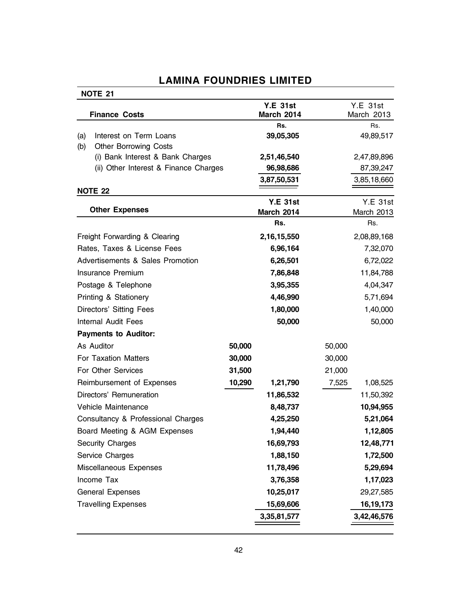| <b>NOTE 21</b>                                                          |        |                   |                   |
|-------------------------------------------------------------------------|--------|-------------------|-------------------|
|                                                                         |        | <b>Y.E 31st</b>   | Y.E. 31st         |
| <b>Finance Costs</b>                                                    |        | <b>March 2014</b> | March 2013        |
|                                                                         |        | Rs.               | Rs.               |
| Interest on Term Loans<br>(a)                                           |        | 39,05,305         | 49,89,517         |
| (b)<br><b>Other Borrowing Costs</b><br>(i) Bank Interest & Bank Charges |        | 2,51,46,540       | 2,47,89,896       |
| (ii) Other Interest & Finance Charges                                   |        | 96,98,686         | 87,39,247         |
|                                                                         |        | 3,87,50,531       | 3,85,18,660       |
| <b>NOTE 22</b>                                                          |        |                   |                   |
|                                                                         |        | <b>Y.E 31st</b>   | <b>Y.E 31st</b>   |
| <b>Other Expenses</b>                                                   |        | <b>March 2014</b> | March 2013        |
|                                                                         |        | Rs.               | Rs.               |
| Freight Forwarding & Clearing                                           |        | 2,16,15,550       | 2,08,89,168       |
| Rates, Taxes & License Fees                                             |        | 6,96,164          | 7,32,070          |
| Advertisements & Sales Promotion                                        |        | 6,26,501          | 6,72,022          |
| Insurance Premium                                                       |        | 7,86,848          | 11,84,788         |
| Postage & Telephone                                                     |        | 3,95,355          | 4,04,347          |
| Printing & Stationery                                                   |        | 4,46,990          | 5,71,694          |
| Directors' Sitting Fees                                                 |        | 1,80,000          | 1,40,000          |
| <b>Internal Audit Fees</b>                                              |        | 50,000            | 50,000            |
| <b>Payments to Auditor:</b>                                             |        |                   |                   |
| As Auditor                                                              | 50,000 |                   | 50,000            |
| For Taxation Matters                                                    | 30,000 |                   | 30,000            |
| For Other Services                                                      | 31,500 |                   | 21,000            |
| Reimbursement of Expenses                                               | 10,290 | 1,21,790          | 7,525<br>1,08,525 |
| Directors' Remuneration                                                 |        | 11,86,532         | 11,50,392         |
| Vehicle Maintenance                                                     |        | 8,48,737          | 10,94,955         |
| Consultancy & Professional Charges                                      |        | 4,25,250          | 5,21,064          |
| Board Meeting & AGM Expenses                                            |        | 1,94,440          | 1,12,805          |
| Security Charges                                                        |        | 16,69,793         | 12,48,771         |
| Service Charges                                                         |        | 1,88,150          | 1,72,500          |
| Miscellaneous Expenses                                                  |        | 11,78,496         | 5,29,694          |
| Income Tax                                                              |        | 3,76,358          | 1,17,023          |
| <b>General Expenses</b>                                                 |        | 10,25,017         | 29,27,585         |
| <b>Travelling Expenses</b>                                              |        | 15,69,606         | 16, 19, 173       |
|                                                                         |        | 3,35,81,577       | 3,42,46,576       |
|                                                                         |        |                   |                   |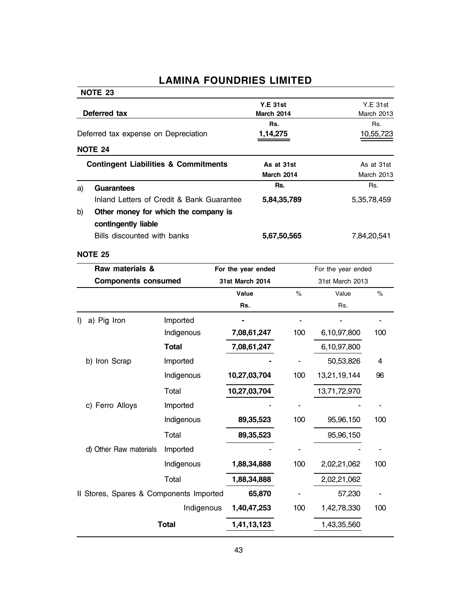|              | NOTE 23                                         |              |                        |      |                    |                  |  |
|--------------|-------------------------------------------------|--------------|------------------------|------|--------------------|------------------|--|
|              |                                                 |              | <b>Y.E 31st</b>        |      |                    | <b>Y.E 31st</b>  |  |
| Deferred tax |                                                 |              | March 2014<br>Rs.      |      | March 2013         |                  |  |
|              | Deferred tax expense on Depreciation            |              | 1,14,275               |      |                    | Rs.<br>10,55,723 |  |
|              | <b>NOTE 24</b>                                  |              |                        |      |                    |                  |  |
|              | <b>Contingent Liabilities &amp; Commitments</b> |              | As at 31st             |      |                    | As at 31st       |  |
|              |                                                 |              | March 2014             |      |                    | March 2013       |  |
| a)           | <b>Guarantees</b>                               |              | Rs.                    |      |                    | Rs.              |  |
|              | Inland Letters of Credit & Bank Guarantee       |              | 5,84,35,789            |      |                    | 5, 35, 78, 459   |  |
| b)           | Other money for which the company is            |              |                        |      |                    |                  |  |
|              | contingently liable                             |              |                        |      |                    |                  |  |
|              | Bills discounted with banks                     |              | 5,67,50,565            |      | 7,84,20,541        |                  |  |
|              | <b>NOTE 25</b>                                  |              |                        |      |                    |                  |  |
|              | Raw materials &                                 |              | For the year ended     |      | For the year ended |                  |  |
|              | <b>Components consumed</b>                      |              | <b>31st March 2014</b> |      | 31st March 2013    |                  |  |
|              |                                                 |              | Value                  | $\%$ | Value              | $\%$             |  |
|              |                                                 |              | Rs.                    |      | Rs.                |                  |  |
| I)           | a) Pig Iron                                     | Imported     |                        |      |                    |                  |  |
|              |                                                 | Indigenous   | 7,08,61,247            | 100  | 6,10,97,800        | 100              |  |
|              |                                                 | <b>Total</b> | 7,08,61,247            |      | 6,10,97,800        |                  |  |
|              | b) Iron Scrap                                   | Imported     |                        |      | 50,53,826          | 4                |  |
|              |                                                 | Indigenous   | 10,27,03,704           | 100  | 13,21,19,144       | 96               |  |
|              |                                                 | Total        | 10,27,03,704           |      | 13,71,72,970       |                  |  |
|              | c) Ferro Alloys                                 | Imported     |                        |      |                    |                  |  |
|              |                                                 | Indigenous   | 89,35,523              | 100  | 95,96,150          | 100              |  |
|              |                                                 | Total        | 89,35,523              |      | 95,96,150          |                  |  |
|              | d) Other Raw materials                          | Imported     |                        |      |                    |                  |  |
|              |                                                 | Indigenous   | 1,88,34,888            | 100  | 2,02,21,062        | 100              |  |
|              |                                                 | Total        | 1,88,34,888            |      | 2,02,21,062        |                  |  |
|              | Il Stores, Spares & Components Imported         |              | 65,870                 |      | 57,230             |                  |  |
|              |                                                 | Indigenous   | 1,40,47,253            | 100  | 1,42,78,330        | 100              |  |
|              |                                                 | <b>Total</b> | 1,41,13,123            |      | 1,43,35,560        |                  |  |